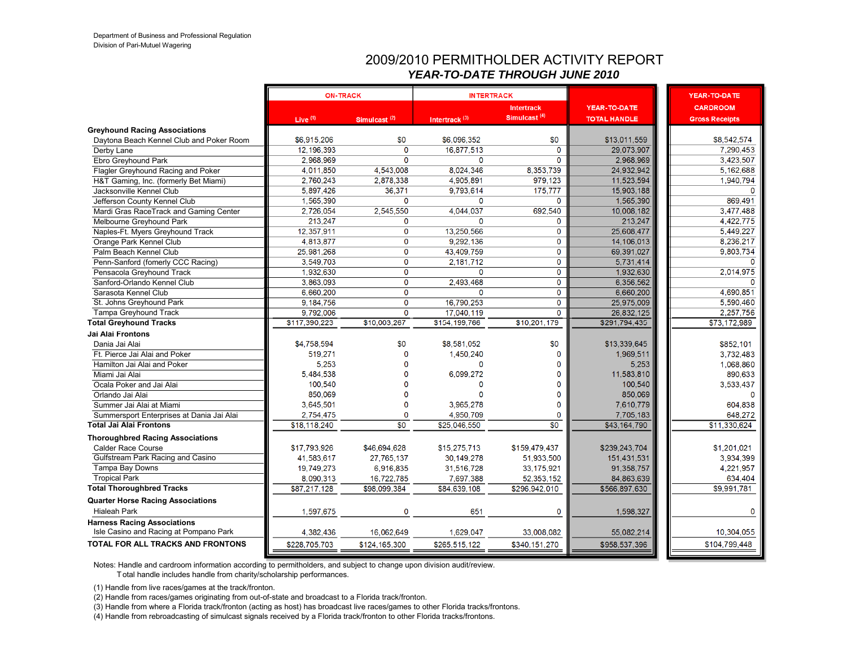#### 2009/2010 PERMITHOLDER ACTIVITY REPORT *YEAR-TO-DATE THROUGH JUNE 2010*

|                                           | <b>ON-TRACK</b> |                          |                           | <b>INTERTRACK</b>                             |                                            | YEAR-TO-DATE                             |
|-------------------------------------------|-----------------|--------------------------|---------------------------|-----------------------------------------------|--------------------------------------------|------------------------------------------|
|                                           | Live $(1)$      | Simulcast <sup>(2)</sup> | Intertrack <sup>(3)</sup> | <b>Intertrack</b><br>Simulcast <sup>(4)</sup> | <b>YEAR-TO-DATE</b><br><b>TOTAL HANDLE</b> | <b>CARDROOM</b><br><b>Gross Receipts</b> |
| <b>Greyhound Racing Associations</b>      |                 |                          |                           |                                               |                                            |                                          |
| Daytona Beach Kennel Club and Poker Room  | \$6,915,206     | \$0                      | \$6,096,352               | \$0                                           | \$13,011,559                               | \$8,542,574                              |
| Derby Lane                                | 12, 196, 393    | $\mathbf 0$              | 16.877.513                | $\mathbf 0$                                   | 29.073.907                                 | 7.290.453                                |
| Ebro Greyhound Park                       | 2,968,969       | $\Omega$                 | $\Omega$                  | 0                                             | 2,968,969                                  | 3,423,507                                |
| Flagler Greyhound Racing and Poker        | 4.011.850       | 4.543.008                | 8.024.346                 | 8.353.739                                     | 24.932.942                                 | 5.162.688                                |
| H&T Gaming, Inc. (formerly Bet Miami)     | 2,760,243       | 2,878,338                | 4,905,891                 | 979,123                                       | 11,523,594                                 | 1,940,794                                |
| Jacksonville Kennel Club                  | 5.897,426       | 36,371                   | 9.793.614                 | 175,777                                       | 15,903,188                                 | $\Omega$                                 |
| Jefferson County Kennel Club              | 1,565,390       | $\mathbf 0$              | 0                         | 0                                             | 1,565,390                                  | 869,491                                  |
| Mardi Gras RaceTrack and Gaming Center    | 2,726,054       | 2,545,550                | 4,044,037                 | 692.540                                       | 10,008,182                                 | 3,477,488                                |
| Melbourne Greyhound Park                  | 213,247         | $\mathbf 0$              | $\Omega$                  | 0                                             | 213.247                                    | 4,422,775                                |
| Naples-Ft. Myers Greyhound Track          | 12,357,911      | $\mathbf 0$              | 13,250,566                | 0                                             | 25.608.477                                 | 5.449.227                                |
| Orange Park Kennel Club                   | 4,813,877       | $\mathbf 0$              | 9,292,136                 | 0                                             | 14,106,013                                 | 8,236,217                                |
| Palm Beach Kennel Club                    | 25.981.268      | $\mathbf 0$              | 43.409.759                | 0                                             | 69.391.027                                 | 9,803,734                                |
| Penn-Sanford (fomerly CCC Racing)         | 3,549,703       | $\mathbf 0$              | 2,181,712                 | $\mathbf 0$                                   | 5,731,414                                  | $\Omega$                                 |
| Pensacola Greyhound Track                 | 1,932,630       | $\mathbf 0$              | $\Omega$                  | 0                                             | 1,932,630                                  | 2,014,975                                |
| Sanford-Orlando Kennel Club               | 3,863,093       | $\mathbf 0$              | 2,493,468                 | $\mathbf 0$                                   | 6.356.562                                  | $\Omega$                                 |
| Sarasota Kennel Club                      | 6,660,200       | $\mathbf 0$              | $\Omega$                  | 0                                             | 6,660,200                                  | 4,690,851                                |
| St. Johns Greyhound Park                  | 9,184,756       | $\mathbf 0$              | 16,790,253                | 0                                             | 25,975,009                                 | 5,590,460                                |
| Tampa Greyhound Track                     | 9,792,006       | $\mathbf 0$              | 17,040,119                | $\mathbf 0$                                   | 26,832,125                                 | 2,257,756                                |
| <b>Total Greyhound Tracks</b>             | \$117,390,223   | \$10,003,267             | \$154,199,766             | \$10,201,179                                  | \$291,794,435                              | \$73,172,989                             |
| Jai Alai Frontons                         |                 |                          |                           |                                               |                                            |                                          |
| Dania Jai Alai                            | \$4,758,594     | \$0                      | \$8,581,052               | \$0                                           | \$13,339,645                               | \$852,101                                |
| Ft. Pierce Jai Alai and Poker             | 519,271         | $\Omega$                 | 1.450.240                 | $\mathbf 0$                                   | 1.969.511                                  | 3,732,483                                |
| Hamilton Jai Alai and Poker               | 5,253           | $\mathbf{0}$             | $\Omega$                  | $\Omega$                                      | 5.253                                      | 1,068,860                                |
| Miami Jai Alai                            | 5,484,538       | $\Omega$                 | 6.099.272                 | $\Omega$                                      | 11,583,810                                 | 890,633                                  |
| Ocala Poker and Jai Alai                  | 100,540         | n                        | 0                         | $\Omega$                                      | 100.540                                    | 3,533,437                                |
| Orlando Jai Alai                          | 850,069         | $\mathbf{0}$             | $\Omega$                  | $\Omega$                                      | 850.069                                    | $\Omega$                                 |
| Summer Jai Alai at Miami                  | 3,645,501       | $\Omega$                 | 3,965,278                 | $\Omega$                                      | 7.610.779                                  | 604.838                                  |
| Summersport Enterprises at Dania Jai Alai | 2,754,475       | $\mathbf 0$              | 4,950,709                 | $\Omega$                                      | 7,705,183                                  | 648,272                                  |
| <b>Total Jai Alai Frontons</b>            | \$18,118,240    | \$0                      | \$25,046,550              | $\overline{50}$                               | \$43,164,790                               | \$11,330,624                             |
| <b>Thoroughbred Racing Associations</b>   |                 |                          |                           |                                               |                                            |                                          |
| <b>Calder Race Course</b>                 | \$17,793,926    | \$46,694,628             | \$15,275,713              | \$159,479,437                                 | \$239,243,704                              | \$1,201,021                              |
| Gulfstream Park Racing and Casino         | 41,583,617      | 27,765,137               | 30,149,278                | 51,933,500                                    | 151.431.531                                | 3,934,399                                |
| Tampa Bay Downs                           | 19,749,273      | 6,916,835                | 31,516,728                | 33,175,921                                    | 91,358,757                                 | 4,221,957                                |
| <b>Tropical Park</b>                      | 8,090,313       | 16.722,785               | 7.697.388                 | 52,353,152                                    | 84,863,639                                 | 634,404                                  |
| <b>Total Thoroughbred Tracks</b>          | \$87,217,128    | \$98,099,384             | \$84,639,108              | \$296,942,010                                 | \$566,897,630                              | \$9,991,781                              |
| <b>Quarter Horse Racing Associations</b>  |                 |                          |                           |                                               |                                            |                                          |
| <b>Hialeah Park</b>                       | 1,597,675       | 0                        | 651                       | 0                                             | 1,598,327                                  | $\mathbf 0$                              |
| <b>Harness Racing Associations</b>        |                 |                          |                           |                                               |                                            |                                          |
| Isle Casino and Racing at Pompano Park    | 4,382,436       | 16,062,649               | 1,629,047                 | 33,008,082                                    | 55,082,214                                 | 10,304,055                               |
| <b>TOTAL FOR ALL TRACKS AND FRONTONS</b>  | \$228,705,703   | \$124,165,300            | \$265,515,122             | \$340,151,270                                 | \$958,537,396                              | \$104,799,448                            |
|                                           |                 |                          |                           |                                               |                                            |                                          |

Notes: Handle and cardroom information according to permitholders, and subject to change upon division audit/review.

T otal handle includes handle from charity/scholarship performances.

(1) Handle from live races/games at the track/fronton.

(2) Handle from races/games originating from out-of-state and broadcast to a Florida track/fronton.

(3) Handle from where a Florida track/fronton (acting as host) has broadcast live races/games to other Florida tracks/frontons.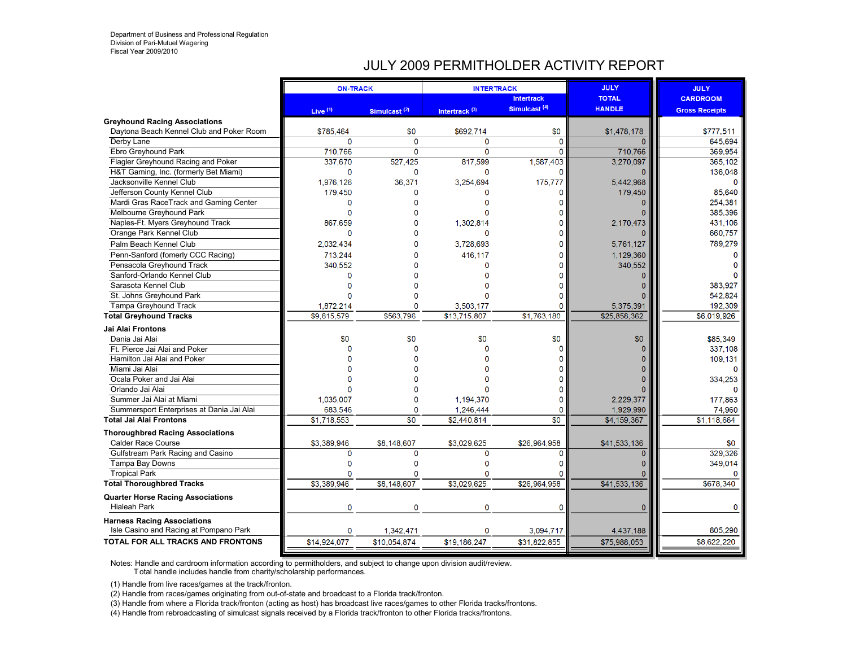#### JULY 2009 PERMITHOLDER ACTIVITY REPORT

|                                           | <b>ON-TRACK</b> |                          | <b>INTERTRACK</b>         |                          | <b>JULY</b>   | <b>JULY</b>           |
|-------------------------------------------|-----------------|--------------------------|---------------------------|--------------------------|---------------|-----------------------|
|                                           |                 |                          |                           | <b>Intertrack</b>        | <b>TOTAL</b>  | <b>CARDROOM</b>       |
|                                           | Live $(1)$      | Simulcast <sup>(2)</sup> | Intertrack <sup>(3)</sup> | Simulcast <sup>(4)</sup> | <b>HANDLE</b> | <b>Gross Receipts</b> |
| <b>Greyhound Racing Associations</b>      |                 |                          |                           |                          |               |                       |
| Davtona Beach Kennel Club and Poker Room  | \$785,464       | \$0                      | \$692,714                 | \$0                      | \$1,478,178   | \$777,511             |
| Derby Lane                                | $\Omega$        | $\mathbf 0$              | $\Omega$                  | $\Omega$                 | $\Omega$      | 645.694               |
| Ebro Greyhound Park                       | 710,766         | $\mathbf 0$              | $\Omega$                  | $\overline{0}$           | 710,766       | 369.954               |
| Flagler Greyhound Racing and Poker        | 337,670         | 527,425                  | 817,599                   | 1,587,403                | 3,270,097     | 365,102               |
| H&T Gaming, Inc. (formerly Bet Miami)     | $\mathbf{0}$    | $\mathbf 0$              | $\Omega$                  | n                        |               | 136,048               |
| Jacksonville Kennel Club                  | 1.976.126       | 36.371                   | 3,254,694                 | 175,777                  | 5.442.968     |                       |
| Jefferson County Kennel Club              | 179,450         | $\Omega$                 | O                         | O                        | 179,450       | 85,640                |
| Mardi Gras RaceTrack and Gaming Center    | $\Omega$        |                          |                           |                          |               | 254,381               |
| Melbourne Greyhound Park                  | n               |                          |                           |                          |               | 385,396               |
| Naples-Ft. Myers Greyhound Track          | 867,659         |                          | 1,302,814                 |                          | 2,170,473     | 431,106               |
| Orange Park Kennel Club                   | O               |                          | O                         |                          |               | 660,757               |
| Palm Beach Kennel Club                    | 2.032.434       |                          | 3.728.693                 |                          | 5.761.127     | 789,279               |
| Penn-Sanford (fomerly CCC Racing)         | 713,244         |                          | 416,117                   |                          | 1.129.360     |                       |
| Pensacola Greyhound Track                 | 340,552         |                          | O                         |                          | 340,552       |                       |
| Sanford-Orlando Kennel Club               | $\Omega$        |                          |                           |                          |               |                       |
| Sarasota Kennel Club                      |                 |                          |                           |                          |               | 383,927               |
| St. Johns Greyhound Park                  |                 |                          |                           |                          |               | 542,824               |
| <b>Tampa Greyhound Track</b>              | 1,872,214       | O                        | 3,503,177                 |                          | 5,375,391     | 192,309               |
| <b>Total Greyhound Tracks</b>             | \$9,815,579     | \$563,796                | \$13,715,807              | \$1,763,180              | \$25,858,362  | \$6,019,926           |
| <b>Jai Alai Frontons</b>                  |                 |                          |                           |                          |               |                       |
| Dania Jai Alai                            | \$0             | \$0                      | \$0                       | \$0                      | \$0           | \$85,349              |
| Ft. Pierce Jai Alai and Poker             |                 | $\Omega$                 |                           |                          |               | 337,108               |
| Hamilton Jai Alai and Poker               |                 |                          |                           |                          |               | 109,131               |
| Miami Jai Alai                            |                 |                          |                           |                          |               |                       |
| Ocala Poker and Jai Alai                  |                 |                          |                           |                          |               | 334,253               |
| Orlando Jai Alai                          |                 |                          |                           |                          |               |                       |
| Summer Jai Alai at Miami                  | 1.035.007       | $\Omega$                 | 1.194.370                 |                          | 2.229.377     | 177,863               |
| Summersport Enterprises at Dania Jai Alai | 683,546         | $\mathbf{0}$             | 1,246,444                 | 0                        | 1,929,990     | 74,960                |
| <b>Total Jai Alai Frontons</b>            | \$1,718,553     | \$0                      | \$2,440,814               | $\overline{30}$          | \$4,159,367   | \$1,118,664           |
| <b>Thoroughbred Racing Associations</b>   |                 |                          |                           |                          |               |                       |
| <b>Calder Race Course</b>                 | \$3,389,946     | \$8,148,607              | \$3,029,625               | \$26,964,958             | \$41,533,136  | \$0                   |
| Gulfstream Park Racing and Casino         | $\mathbf 0$     | $\mathbf 0$              | $\Omega$                  | n                        | $\Omega$      | 329.326               |
| Tampa Bay Downs                           | $\Omega$        | $\Omega$                 | $\Omega$                  |                          |               | 349,014               |
| <b>Tropical Park</b>                      |                 | O                        |                           |                          |               | O                     |
| <b>Total Thoroughbred Tracks</b>          | \$3,389,946     | \$8,148,607              | \$3,029,625               | \$26,964,958             | \$41,533,136  | \$678,340             |
| <b>Quarter Horse Racing Associations</b>  |                 |                          |                           |                          |               |                       |
| <b>Hialeah Park</b>                       | $\mathbf 0$     | $\mathbf 0$              | $\Omega$                  | $\Omega$                 | O             | $\Omega$              |
| <b>Harness Racing Associations</b>        |                 |                          |                           |                          |               |                       |
| Isle Casino and Racing at Pompano Park    | $\mathbf 0$     | 1,342,471                | $\Omega$                  | 3,094,717                | 4,437,188     | 805,290               |
| TOTAL FOR ALL TRACKS AND FRONTONS         | \$14,924,077    | \$10,054,874             | \$19,186,247              | \$31,822,855             | \$75,988,053  | \$8,622,220           |
|                                           |                 |                          |                           |                          |               |                       |

Notes: Handle and cardroom information according to permitholders, and subject to change upon division audit/review.

T otal handle includes handle from charity/scholarship performances.

(1) Handle from live races/games at the track/fronton.

(2) Handle from races/games originating from out-of-state and broadcast to a Florida track/fronton.

(3) Handle from where a Florida track/fronton (acting as host) has broadcast live races/games to other Florida tracks/frontons.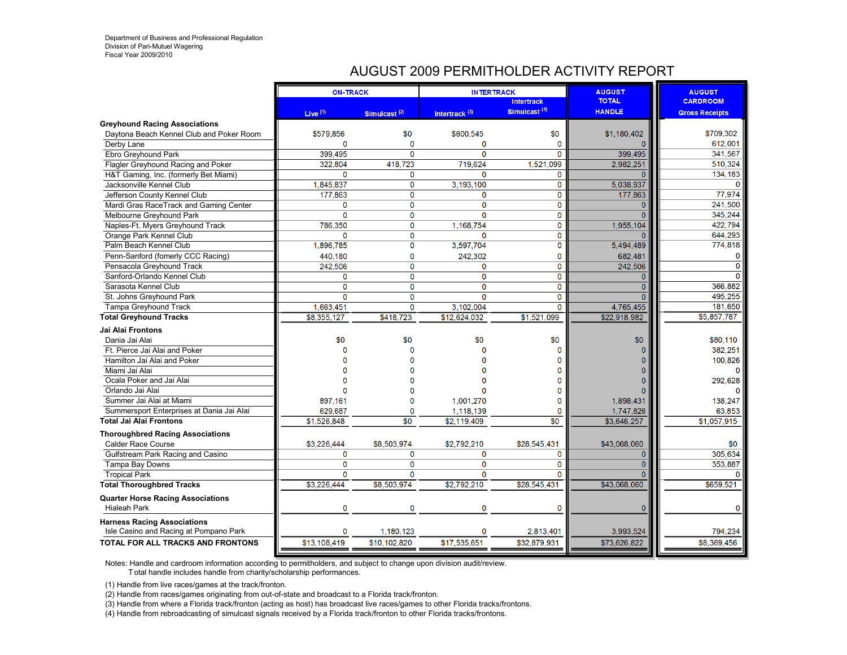#### AUGUST 2009 PERMITHOLDER ACTIVITY REPORT

|                                                                 | <b>ON-TRACK</b>       |                     |                  | <b>INTERTRACK</b>                             | <b>AUGUST</b>                 | <b>AUGUST</b>         |
|-----------------------------------------------------------------|-----------------------|---------------------|------------------|-----------------------------------------------|-------------------------------|-----------------------|
|                                                                 |                       |                     |                  | <b>Intertrack</b><br>Simulcast <sup>(4)</sup> | <b>TOTAL</b><br><b>HANDLE</b> | <b>CARDROOM</b>       |
|                                                                 | Live <sup>(1)</sup>   | Simulcast $(2)$     | Intertrack $(3)$ |                                               |                               | <b>Gross Receipts</b> |
| <b>Greyhound Racing Associations</b>                            |                       |                     |                  | \$0                                           |                               |                       |
| Daytona Beach Kennel Club and Poker Room                        | \$579.856<br>$\Omega$ | \$0<br>$\mathbf{0}$ | \$600,545        | $\overline{0}$                                | \$1.180.402<br>$\Omega$       | \$709.302<br>612.001  |
| Derby Lane                                                      |                       | $\Omega$            | 0<br>$\Omega$    | 0                                             | 399.495                       | 341,567               |
| Ebro Greyhound Park                                             | 399.495               |                     |                  |                                               |                               |                       |
| Flagler Greyhound Racing and Poker                              | 322.804<br>$\Omega$   | 418.723             | 719.624          | 1.521.099                                     | 2.982.251                     | 510.324               |
| H&T Gaming, Inc. (formerly Bet Miami)                           |                       | 0                   | $\Omega$         | $\Omega$                                      |                               | 134,183               |
| Jacksonville Kennel Club                                        | 1,845,837             | $\mathbf 0$         | 3,193,100        | 0                                             | 5.038.937                     | $\Omega$              |
| Jefferson County Kennel Club                                    | 177.863               | $\mathbf 0$         | 0                | $\mathbf 0$                                   | 177.863                       | 77,974                |
| Mardi Gras RaceTrack and Gaming Center                          | $\mathbf 0$           | $\mathbf 0$         | $\mathbf 0$      | $\overline{0}$                                | $\Omega$                      | 241,500               |
| Melbourne Greyhound Park                                        | 0                     | 0                   | 0                | 0                                             | $\Omega$                      | 345,244               |
| Naples-Ft. Myers Greyhound Track                                | 786.350               | $\overline{0}$      | 1.168.754        | $\overline{0}$                                | 1,955,104                     | 422.794               |
| Orange Park Kennel Club                                         | $\mathbf{0}$          | $\mathbf 0$         | $\mathbf{0}$     | $\Omega$                                      |                               | 644,293               |
| Palm Beach Kennel Club                                          | 1.896.785             | 0                   | 3.597.704        | $\overline{0}$                                | 5.494.489                     | 774,818               |
| Penn-Sanford (fomerly CCC Racing)                               | 440.180               | 0                   | 242,302          | 0                                             | 682.481                       | $\Omega$              |
| Pensacola Greyhound Track                                       | 242,506               | $\overline{0}$      | 0                | $\overline{0}$                                | 242,506                       | $\mathbf 0$           |
| Sanford-Orlando Kennel Club                                     | $\mathbf 0$           | $\mathbf 0$         | $\mathbf{0}$     | $\mathbf{0}$                                  | $\Omega$                      | $\Omega$              |
| Sarasota Kennel Club                                            | $\overline{0}$        | $\overline{0}$      | $\overline{0}$   | $\overline{0}$                                | $\Omega$                      | 366.882               |
| St. Johns Greyhound Park                                        | $\mathbf 0$           | $\mathbf 0$         | $\mathbf 0$      | $\mathbf 0$                                   | $\Omega$                      | 495,255               |
| Tampa Greyhound Track                                           | 1,663,451             | $\overline{0}$      | 3,102,004        | $\Omega$                                      | 4,765,455                     | 181.650               |
| <b>Total Greyhound Tracks</b>                                   | \$8,355,127           | \$418,723           | \$12,624,032     | \$1,521,099                                   | \$22,918,982                  | \$5.857,787           |
| Jai Alai Frontons                                               |                       |                     |                  |                                               |                               |                       |
| Dania Jai Alai                                                  | \$0                   | \$0                 | \$0              | \$0                                           | \$0                           | \$80,110              |
| Ft. Pierce Jai Alai and Poker                                   |                       | $\Omega$            |                  |                                               |                               | 382.251               |
| Hamilton Jai Alai and Poker                                     |                       | n                   |                  |                                               |                               | 100,826               |
| Miami Jai Alai                                                  |                       |                     |                  |                                               |                               | $\Omega$              |
| Ocala Poker and Jai Alai                                        |                       |                     |                  | 0                                             |                               | 292,628               |
| Orlando Jai Alai                                                |                       | n                   |                  | O                                             |                               |                       |
| Summer Jai Alai at Miami                                        | 897.161               | $\Omega$            | 1.001.270        | 0                                             | 1.898.431                     | 138,247               |
| Summersport Enterprises at Dania Jai Alai                       | 629,687               | $\mathbf 0$         | 1,118,139        | 0                                             | 1,747,826                     | 63,853                |
| <b>Total Jai Alai Frontons</b>                                  | \$1,526,848           | $\overline{\$0}$    | \$2,119,409      | \$0                                           | \$3,646,257                   | \$1,057,915           |
| <b>Thoroughbred Racing Associations</b>                         |                       |                     |                  |                                               |                               |                       |
| <b>Calder Race Course</b>                                       | \$3,226,444           | \$8,503,974         | \$2,792,210      | \$28,545,431                                  | \$43,068,060                  | \$0                   |
| Gulfstream Park Racing and Casino                               | 0                     | 0                   | 0                | $\mathbf 0$                                   | $\overline{0}$                | 305,634               |
| Tampa Bay Downs                                                 | $\mathbf{0}$          | $\mathbf 0$         | $\mathbf 0$      | $\mathbf 0$                                   | $\mathbf{0}$                  | 353,887               |
| <b>Tropical Park</b>                                            | $\Omega$              | $\Omega$            | $\Omega$         | $\Omega$                                      | $\Omega$                      | $\Omega$              |
| <b>Total Thoroughbred Tracks</b>                                | \$3,226,444           | \$8,503,974         | \$2.792.210      | \$28,545,431                                  | \$43,068,060                  | \$659,521             |
|                                                                 |                       |                     |                  |                                               |                               |                       |
| <b>Quarter Horse Racing Associations</b><br><b>Hialeah Park</b> | 0                     | $\mathbf 0$         | $\mathbf 0$      | 0                                             | $\overline{0}$                | $\mathbf 0$           |
|                                                                 |                       |                     |                  |                                               |                               |                       |
| <b>Harness Racing Associations</b>                              |                       |                     |                  |                                               |                               |                       |
| Isle Casino and Racing at Pompano Park                          | $\mathbf 0$           | 1,180,123           | $\Omega$         | 2,813,401                                     | 3,993,524                     | 794.234               |
| TOTAL FOR ALL TRACKS AND FRONTONS                               | \$13,108,419          | \$10,102,820        | \$17,535,651     | \$32,879,931                                  | \$73,626,822                  | \$8,369,456           |
|                                                                 |                       |                     |                  |                                               |                               |                       |

Notes: Handle and cardroom information according to permitholders, and subject to change upon division audit/review.

T otal handle includes handle from charity/scholarship performances.

(1) Handle from live races/games at the track/fronton.

(2) Handle from races/games originating from out-of-state and broadcast to a Florida track/fronton.

(3) Handle from where a Florida track/fronton (acting as host) has broadcast live races/games to other Florida tracks/frontons.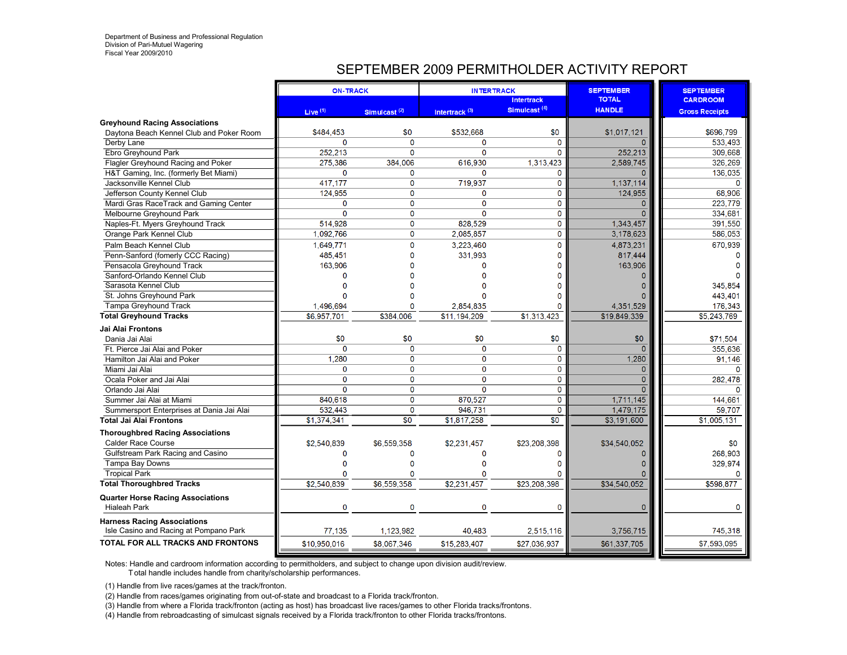# SEPTEMBER 2009 PERMITHOLDER ACTIVITY REPORT

|                                                                                  | <b>ON-TRACK</b> |                 | <b>INTERTRACK</b>         |                                               | <b>SEPTEMBER</b><br><b>TOTAL</b> | <b>SEPTEMBER</b>      |
|----------------------------------------------------------------------------------|-----------------|-----------------|---------------------------|-----------------------------------------------|----------------------------------|-----------------------|
|                                                                                  |                 |                 |                           | <b>Intertrack</b><br>Simulcast <sup>(4)</sup> | <b>HANDLE</b>                    | <b>CARDROOM</b>       |
|                                                                                  | Live $(1)$      | Simulcast $(2)$ | Intertrack <sup>(3)</sup> |                                               |                                  | <b>Gross Receipts</b> |
| <b>Greyhound Racing Associations</b><br>Daytona Beach Kennel Club and Poker Room | \$484,453       | \$0             | \$532,668                 | \$0                                           | \$1,017,121                      | \$696,799             |
|                                                                                  | $\Omega$        | $\Omega$        | $\Omega$                  | $\Omega$                                      | $\Omega$                         | 533,493               |
| Derby Lane<br>Ebro Greyhound Park                                                | 252.213         | $\Omega$        | $\mathbf{0}$              | $\Omega$                                      | 252,213                          | 309,668               |
|                                                                                  | 275.386         | 384.006         | 616.930                   | 1,313,423                                     | 2,589,745                        | 326,269               |
| Flagler Greyhound Racing and Poker                                               | $\mathbf{O}$    | $\mathbf{0}$    | $\Omega$                  | $\Omega$                                      | $\Omega$                         | 136,035               |
| H&T Gaming, Inc. (formerly Bet Miami)<br>Jacksonville Kennel Club                | 417,177         | 0               | 719,937                   | 0                                             | 1,137,114                        | $\mathbf 0$           |
|                                                                                  | 124,955         | $\mathbf 0$     | $\Omega$                  | 0                                             | 124,955                          | 68,906                |
| Jefferson County Kennel Club                                                     |                 |                 |                           |                                               |                                  |                       |
| Mardi Gras RaceTrack and Gaming Center                                           | $\mathbf 0$     | $\mathbf 0$     | $\mathbf 0$               | 0                                             | $\mathbf{0}$<br>$\Omega$         | 223.779               |
| Melbourne Greyhound Park                                                         | $\Omega$        | $\mathbf 0$     | $\Omega$                  | $\Omega$                                      |                                  | 334,681               |
| Naples-Ft. Myers Greyhound Track                                                 | 514.928         | $\mathbf 0$     | 828.529                   | 0                                             | 1,343,457                        | 391,550               |
| Orange Park Kennel Club                                                          | 1,092,766       | $\mathbf 0$     | 2,085,857                 | 0                                             | 3,178,623                        | 586,053               |
| Palm Beach Kennel Club                                                           | 1.649.771       | $\mathbf{O}$    | 3.223.460                 | 0                                             | 4.873.231                        | 670,939               |
| Penn-Sanford (fomerly CCC Racing)                                                | 485,451         | $\Omega$        | 331,993                   | O                                             | 817,444                          |                       |
| Pensacola Greyhound Track                                                        | 163,906         | O               | O                         | n                                             | 163,906                          |                       |
| Sanford-Orlando Kennel Club                                                      | $\Omega$        |                 |                           |                                               | $\Omega$                         |                       |
| Sarasota Kennel Club                                                             |                 |                 |                           |                                               | $\Omega$                         | 345,854               |
| St. Johns Greyhound Park                                                         |                 |                 |                           |                                               |                                  | 443,401               |
| Tampa Greyhound Track                                                            | 1,496,694       | $\Omega$        | 2,854,835                 | n                                             | 4,351,529                        | 176,343               |
| <b>Total Greyhound Tracks</b>                                                    | \$6,957,701     | \$384,006       | \$11,194,209              | \$1,313,423                                   | \$19,849,339                     | \$5,243,769           |
| Jai Alai Frontons                                                                |                 |                 |                           |                                               |                                  |                       |
| Dania Jai Alai                                                                   | \$0             | \$0             | \$0                       | \$0                                           | \$0                              | \$71,504              |
| Ft. Pierce Jai Alai and Poker                                                    | $\Omega$        | $\Omega$        | $\mathbf 0$               | 0                                             | $\Omega$                         | 355,636               |
| Hamilton Jai Alai and Poker                                                      | 1,280           | $\mathbf 0$     | 0                         | 0                                             | 1,280                            | 91,146                |
| Miami Jai Alai                                                                   | $\Omega$        | $\mathbf 0$     | $\mathbf 0$               | 0                                             | $\overline{0}$                   | $\Omega$              |
| Ocala Poker and Jai Alai                                                         | $\overline{0}$  | $\overline{0}$  | $\overline{0}$            | $\mathbf 0$                                   | $\overline{0}$                   | 282,478               |
| Orlando Jai Alai                                                                 | $\Omega$        | $\mathbf 0$     | $\overline{0}$            | 0                                             | $\Omega$                         |                       |
| Summer Jai Alai at Miami                                                         | 840.618         | $\mathbf{0}$    | 870.527                   | 0                                             | 1,711,145                        | 144,661               |
| Summersport Enterprises at Dania Jai Alai                                        | 532.443         | $\mathbf 0$     | 946.731                   | $\mathbf 0$                                   | 1,479,175                        | 59,707                |
| <b>Total Jai Alai Frontons</b>                                                   | \$1,374,341     | $\overline{30}$ | \$1,817,258               | \$0                                           | \$3,191,600                      | \$1,005,131           |
| <b>Thoroughbred Racing Associations</b>                                          |                 |                 |                           |                                               |                                  |                       |
| <b>Calder Race Course</b>                                                        | \$2,540,839     | \$6,559,358     | \$2.231.457               | \$23,208,398                                  | \$34,540,052                     | \$0                   |
| Gulfstream Park Racing and Casino                                                | $\mathbf{0}$    | $\Omega$        | $\Omega$                  | 0                                             | $\mathbf 0$                      | 268,903               |
| Tampa Bay Downs                                                                  |                 |                 |                           |                                               | $\Omega$                         | 329,974               |
| <b>Tropical Park</b>                                                             | $\Omega$        |                 |                           |                                               |                                  |                       |
| <b>Total Thoroughbred Tracks</b>                                                 | \$2,540,839     | \$6,559,358     | \$2,231,457               | \$23,208,398                                  | \$34,540,052                     | \$598,877             |
|                                                                                  |                 |                 |                           |                                               |                                  |                       |
| <b>Quarter Horse Racing Associations</b><br><b>Hialeah Park</b>                  | $\mathbf 0$     | $\mathbf 0$     | $\mathbf 0$               | $\mathbf{0}$                                  | $\mathbf{0}$                     | O                     |
| <b>Harness Racing Associations</b>                                               |                 |                 |                           |                                               |                                  |                       |
| Isle Casino and Racing at Pompano Park                                           | 77.135          | 1.123.982       | 40.483                    | 2.515.116                                     | 3,756,715                        | 745,318               |
| <b>TOTAL FOR ALL TRACKS AND FRONTONS</b>                                         | \$10.950.016    | \$8,067,346     | \$15,283,407              | \$27,036,937                                  | \$61,337,705                     | \$7,593,095           |
|                                                                                  |                 |                 |                           |                                               |                                  |                       |

Notes: Handle and cardroom information according to permitholders, and subject to change upon division audit/review. T otal handle includes handle from charity/scholarship performances.

(1) Handle from live races/games at the track/fronton.

(2) Handle from races/games originating from out-of-state and broadcast to a Florida track/fronton.

(3) Handle from where a Florida track/fronton (acting as host) has broadcast live races/games to other Florida tracks/frontons.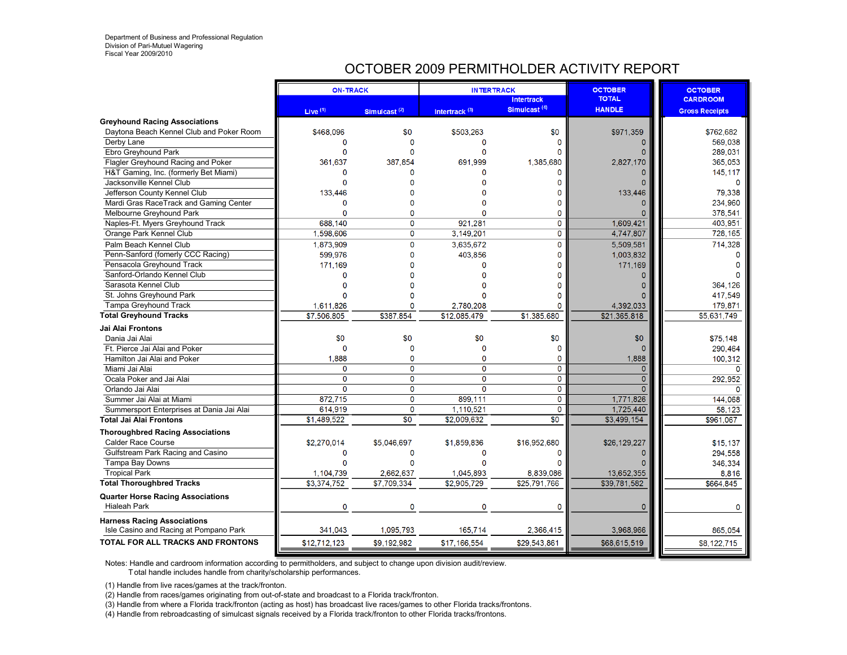# OCTOBER 2009 PERMITHOLDER ACTIVITY REPORT

| Simulcast <sup>(4)</sup><br><b>HANDLE</b><br>Live $(1)$<br>Intertrack <sup>(3)</sup><br>Simulcast $(2)$<br><b>Gross Receipts</b><br><b>Greyhound Racing Associations</b><br>\$971,359<br>Daytona Beach Kennel Club and Poker Room<br>\$468,096<br>\$0<br>\$503,263<br>\$0<br>\$762.682<br>$\Omega$<br>569,038<br>$\mathbf 0$<br>$\Omega$<br>Derby Lane<br>$\mathbf{0}$<br>Ebro Greyhound Park<br>$\Omega$<br>$\Omega$<br>289,031<br>Flagler Greyhound Racing and Poker<br>2,827,170<br>361.637<br>387.854<br>691.999<br>1.385.680<br>365.053<br>H&T Gaming, Inc. (formerly Bet Miami)<br>$\Omega$<br>$\Omega$<br>145,117<br>$\Omega$<br>Jacksonville Kennel Club<br>133.446<br>79,338<br>Jefferson County Kennel Club<br>133,446<br>Mardi Gras RaceTrack and Gaming Center<br>$\mathbf{0}$<br>234,960<br>$\mathbf 0$<br>378,541<br>$\Omega$<br>$\Omega$<br>Melbourne Greyhound Park<br>0<br>$\Omega$<br>$\Omega$<br>921.281<br>$\mathbf 0$<br>1.609.421<br>403.951<br>688.140<br>Naples-Ft. Myers Greyhound Track<br>$\mathbf 0$<br>$\mathbf 0$<br>4,747,807<br>1,598,606<br>3,149,201<br>728,165<br>Orange Park Kennel Club<br>$\mathbf{0}$<br>$\mathbf{0}$<br>3,635,672<br>5,509,581<br>714,328<br>Palm Beach Kennel Club<br>1,873,909<br>Penn-Sanford (fomerly CCC Racing)<br>599,976<br>403.856<br>1,003,832<br>$\Omega$<br>O<br>171.169<br>Pensacola Greyhound Track<br>171.169<br>O<br>Sanford-Orlando Kennel Club<br>$\Omega$<br>$\mathbf{0}$<br>Sarasota Kennel Club<br>364,126<br>St. Johns Greyhound Park<br>417.549<br><b>Tampa Greyhound Track</b><br>1,611,826<br>2.780.208<br>4,392,033<br>179,871<br>$\Omega$<br>n<br>\$21,365,818<br>\$7,506,805<br>\$387,854<br>\$12,085,479<br>\$1,385,680<br>\$5,631,749<br>Jai Alai Frontons<br>\$0<br>\$0<br>\$0<br>\$0<br>\$0<br>\$75.148<br>Dania Jai Alai<br>$\Omega$<br>Ft. Pierce Jai Alai and Poker<br>$\Omega$<br>$\Omega$<br>C<br>$\Omega$<br>290,464<br>0<br>1,888<br>1,888<br>$\mathbf 0$<br>$\Omega$<br>100,312<br>Hamilton Jai Alai and Poker<br>0<br>$\mathbf 0$<br>$\mathbf 0$<br>$\Omega$<br>$\mathbf 0$<br>Miami Jai Alai<br>$\Omega$<br>$\overline{0}$<br>$\overline{0}$<br>$\overline{0}$<br>$\mathbf 0$<br>$\mathbf 0$<br>Ocala Poker and Jai Alai<br>292,952<br>$\overline{0}$<br>$\overline{0}$<br>$\overline{0}$<br>$\mathbf 0$<br>$\Omega$<br>Orlando Jai Alai<br>n<br>872,715<br>$\mathbf 0$<br>899.111<br>$\mathbf{0}$<br>1,771,826<br>Summer Jai Alai at Miami<br>144,068<br>$\mathbf 0$<br>1,110,521<br>$\mathbf 0$<br>1,725,440<br>58,123<br>Summersport Enterprises at Dania Jai Alai<br>614.919<br>\$1,489,522<br>$\overline{\$0}$<br>\$2.009.632<br>$\overline{50}$<br>\$3,499,154<br>\$961.067<br><b>Thoroughbred Racing Associations</b><br>\$2.270.014<br>\$26,129,227<br>\$5.046.697<br>\$1,859,836<br>\$16.952.680<br>\$15,137<br><b>Calder Race Course</b><br>Gulfstream Park Racing and Casino<br>$\Omega$<br>$\Omega$<br>$\Omega$<br>294,558<br>$\Omega$<br>Tampa Bay Downs<br>346,334<br>13,652,355<br><b>Tropical Park</b><br>1,104,739<br>2,662,637<br>1,045,893<br>8,839,086<br>8,816<br>\$3,374,752<br>\$7,709,334<br>\$25,791,766<br>\$2,905,729<br>\$39,781,582<br><b>Total Thoroughbred Tracks</b><br>\$664.845<br><b>Quarter Horse Racing Associations</b><br>$\mathbf 0$<br><b>Hialeah Park</b><br>$\Omega$<br>0<br>0<br>$\mathbf{0}$<br>0<br><b>Harness Racing Associations</b><br>341.043<br>1.095.793<br>165,714<br>2.366.415<br>3,968,966<br>865,054<br>Isle Casino and Racing at Pompano Park<br>\$29,543,861<br>\$68,615,519<br>\$12,712,123<br>\$9,192,982<br>\$17,166,554<br>\$8,122,715 |                                   | <b>ON-TRACK</b> | <b>INTERTRACK</b> |                   | <b>OCTOBER</b><br><b>TOTAL</b> | <b>OCTOBER</b>  |
|--------------------------------------------------------------------------------------------------------------------------------------------------------------------------------------------------------------------------------------------------------------------------------------------------------------------------------------------------------------------------------------------------------------------------------------------------------------------------------------------------------------------------------------------------------------------------------------------------------------------------------------------------------------------------------------------------------------------------------------------------------------------------------------------------------------------------------------------------------------------------------------------------------------------------------------------------------------------------------------------------------------------------------------------------------------------------------------------------------------------------------------------------------------------------------------------------------------------------------------------------------------------------------------------------------------------------------------------------------------------------------------------------------------------------------------------------------------------------------------------------------------------------------------------------------------------------------------------------------------------------------------------------------------------------------------------------------------------------------------------------------------------------------------------------------------------------------------------------------------------------------------------------------------------------------------------------------------------------------------------------------------------------------------------------------------------------------------------------------------------------------------------------------------------------------------------------------------------------------------------------------------------------------------------------------------------------------------------------------------------------------------------------------------------------------------------------------------------------------------------------------------------------------------------------------------------------------------------------------------------------------------------------------------------------------------------------------------------------------------------------------------------------------------------------------------------------------------------------------------------------------------------------------------------------------------------------------------------------------------------------------------------------------------------------------------------------------------------------------------------------------------------------------------------------------------------------------------------------------------------------------------------------------------------------------------------------------------------------------------------------------------------------------------------------------------------------------------------------------------------------------------------------------------------------------------------------------------------------------|-----------------------------------|-----------------|-------------------|-------------------|--------------------------------|-----------------|
|                                                                                                                                                                                                                                                                                                                                                                                                                                                                                                                                                                                                                                                                                                                                                                                                                                                                                                                                                                                                                                                                                                                                                                                                                                                                                                                                                                                                                                                                                                                                                                                                                                                                                                                                                                                                                                                                                                                                                                                                                                                                                                                                                                                                                                                                                                                                                                                                                                                                                                                                                                                                                                                                                                                                                                                                                                                                                                                                                                                                                                                                                                                                                                                                                                                                                                                                                                                                                                                                                                                                                                                                        |                                   |                 |                   | <b>Intertrack</b> |                                | <b>CARDROOM</b> |
|                                                                                                                                                                                                                                                                                                                                                                                                                                                                                                                                                                                                                                                                                                                                                                                                                                                                                                                                                                                                                                                                                                                                                                                                                                                                                                                                                                                                                                                                                                                                                                                                                                                                                                                                                                                                                                                                                                                                                                                                                                                                                                                                                                                                                                                                                                                                                                                                                                                                                                                                                                                                                                                                                                                                                                                                                                                                                                                                                                                                                                                                                                                                                                                                                                                                                                                                                                                                                                                                                                                                                                                                        |                                   |                 |                   |                   |                                |                 |
|                                                                                                                                                                                                                                                                                                                                                                                                                                                                                                                                                                                                                                                                                                                                                                                                                                                                                                                                                                                                                                                                                                                                                                                                                                                                                                                                                                                                                                                                                                                                                                                                                                                                                                                                                                                                                                                                                                                                                                                                                                                                                                                                                                                                                                                                                                                                                                                                                                                                                                                                                                                                                                                                                                                                                                                                                                                                                                                                                                                                                                                                                                                                                                                                                                                                                                                                                                                                                                                                                                                                                                                                        |                                   |                 |                   |                   |                                |                 |
|                                                                                                                                                                                                                                                                                                                                                                                                                                                                                                                                                                                                                                                                                                                                                                                                                                                                                                                                                                                                                                                                                                                                                                                                                                                                                                                                                                                                                                                                                                                                                                                                                                                                                                                                                                                                                                                                                                                                                                                                                                                                                                                                                                                                                                                                                                                                                                                                                                                                                                                                                                                                                                                                                                                                                                                                                                                                                                                                                                                                                                                                                                                                                                                                                                                                                                                                                                                                                                                                                                                                                                                                        |                                   |                 |                   |                   |                                |                 |
|                                                                                                                                                                                                                                                                                                                                                                                                                                                                                                                                                                                                                                                                                                                                                                                                                                                                                                                                                                                                                                                                                                                                                                                                                                                                                                                                                                                                                                                                                                                                                                                                                                                                                                                                                                                                                                                                                                                                                                                                                                                                                                                                                                                                                                                                                                                                                                                                                                                                                                                                                                                                                                                                                                                                                                                                                                                                                                                                                                                                                                                                                                                                                                                                                                                                                                                                                                                                                                                                                                                                                                                                        |                                   |                 |                   |                   |                                |                 |
|                                                                                                                                                                                                                                                                                                                                                                                                                                                                                                                                                                                                                                                                                                                                                                                                                                                                                                                                                                                                                                                                                                                                                                                                                                                                                                                                                                                                                                                                                                                                                                                                                                                                                                                                                                                                                                                                                                                                                                                                                                                                                                                                                                                                                                                                                                                                                                                                                                                                                                                                                                                                                                                                                                                                                                                                                                                                                                                                                                                                                                                                                                                                                                                                                                                                                                                                                                                                                                                                                                                                                                                                        |                                   |                 |                   |                   |                                |                 |
|                                                                                                                                                                                                                                                                                                                                                                                                                                                                                                                                                                                                                                                                                                                                                                                                                                                                                                                                                                                                                                                                                                                                                                                                                                                                                                                                                                                                                                                                                                                                                                                                                                                                                                                                                                                                                                                                                                                                                                                                                                                                                                                                                                                                                                                                                                                                                                                                                                                                                                                                                                                                                                                                                                                                                                                                                                                                                                                                                                                                                                                                                                                                                                                                                                                                                                                                                                                                                                                                                                                                                                                                        |                                   |                 |                   |                   |                                |                 |
|                                                                                                                                                                                                                                                                                                                                                                                                                                                                                                                                                                                                                                                                                                                                                                                                                                                                                                                                                                                                                                                                                                                                                                                                                                                                                                                                                                                                                                                                                                                                                                                                                                                                                                                                                                                                                                                                                                                                                                                                                                                                                                                                                                                                                                                                                                                                                                                                                                                                                                                                                                                                                                                                                                                                                                                                                                                                                                                                                                                                                                                                                                                                                                                                                                                                                                                                                                                                                                                                                                                                                                                                        |                                   |                 |                   |                   |                                |                 |
|                                                                                                                                                                                                                                                                                                                                                                                                                                                                                                                                                                                                                                                                                                                                                                                                                                                                                                                                                                                                                                                                                                                                                                                                                                                                                                                                                                                                                                                                                                                                                                                                                                                                                                                                                                                                                                                                                                                                                                                                                                                                                                                                                                                                                                                                                                                                                                                                                                                                                                                                                                                                                                                                                                                                                                                                                                                                                                                                                                                                                                                                                                                                                                                                                                                                                                                                                                                                                                                                                                                                                                                                        |                                   |                 |                   |                   |                                |                 |
|                                                                                                                                                                                                                                                                                                                                                                                                                                                                                                                                                                                                                                                                                                                                                                                                                                                                                                                                                                                                                                                                                                                                                                                                                                                                                                                                                                                                                                                                                                                                                                                                                                                                                                                                                                                                                                                                                                                                                                                                                                                                                                                                                                                                                                                                                                                                                                                                                                                                                                                                                                                                                                                                                                                                                                                                                                                                                                                                                                                                                                                                                                                                                                                                                                                                                                                                                                                                                                                                                                                                                                                                        |                                   |                 |                   |                   |                                |                 |
|                                                                                                                                                                                                                                                                                                                                                                                                                                                                                                                                                                                                                                                                                                                                                                                                                                                                                                                                                                                                                                                                                                                                                                                                                                                                                                                                                                                                                                                                                                                                                                                                                                                                                                                                                                                                                                                                                                                                                                                                                                                                                                                                                                                                                                                                                                                                                                                                                                                                                                                                                                                                                                                                                                                                                                                                                                                                                                                                                                                                                                                                                                                                                                                                                                                                                                                                                                                                                                                                                                                                                                                                        |                                   |                 |                   |                   |                                |                 |
|                                                                                                                                                                                                                                                                                                                                                                                                                                                                                                                                                                                                                                                                                                                                                                                                                                                                                                                                                                                                                                                                                                                                                                                                                                                                                                                                                                                                                                                                                                                                                                                                                                                                                                                                                                                                                                                                                                                                                                                                                                                                                                                                                                                                                                                                                                                                                                                                                                                                                                                                                                                                                                                                                                                                                                                                                                                                                                                                                                                                                                                                                                                                                                                                                                                                                                                                                                                                                                                                                                                                                                                                        |                                   |                 |                   |                   |                                |                 |
|                                                                                                                                                                                                                                                                                                                                                                                                                                                                                                                                                                                                                                                                                                                                                                                                                                                                                                                                                                                                                                                                                                                                                                                                                                                                                                                                                                                                                                                                                                                                                                                                                                                                                                                                                                                                                                                                                                                                                                                                                                                                                                                                                                                                                                                                                                                                                                                                                                                                                                                                                                                                                                                                                                                                                                                                                                                                                                                                                                                                                                                                                                                                                                                                                                                                                                                                                                                                                                                                                                                                                                                                        |                                   |                 |                   |                   |                                |                 |
|                                                                                                                                                                                                                                                                                                                                                                                                                                                                                                                                                                                                                                                                                                                                                                                                                                                                                                                                                                                                                                                                                                                                                                                                                                                                                                                                                                                                                                                                                                                                                                                                                                                                                                                                                                                                                                                                                                                                                                                                                                                                                                                                                                                                                                                                                                                                                                                                                                                                                                                                                                                                                                                                                                                                                                                                                                                                                                                                                                                                                                                                                                                                                                                                                                                                                                                                                                                                                                                                                                                                                                                                        |                                   |                 |                   |                   |                                |                 |
|                                                                                                                                                                                                                                                                                                                                                                                                                                                                                                                                                                                                                                                                                                                                                                                                                                                                                                                                                                                                                                                                                                                                                                                                                                                                                                                                                                                                                                                                                                                                                                                                                                                                                                                                                                                                                                                                                                                                                                                                                                                                                                                                                                                                                                                                                                                                                                                                                                                                                                                                                                                                                                                                                                                                                                                                                                                                                                                                                                                                                                                                                                                                                                                                                                                                                                                                                                                                                                                                                                                                                                                                        |                                   |                 |                   |                   |                                |                 |
|                                                                                                                                                                                                                                                                                                                                                                                                                                                                                                                                                                                                                                                                                                                                                                                                                                                                                                                                                                                                                                                                                                                                                                                                                                                                                                                                                                                                                                                                                                                                                                                                                                                                                                                                                                                                                                                                                                                                                                                                                                                                                                                                                                                                                                                                                                                                                                                                                                                                                                                                                                                                                                                                                                                                                                                                                                                                                                                                                                                                                                                                                                                                                                                                                                                                                                                                                                                                                                                                                                                                                                                                        |                                   |                 |                   |                   |                                |                 |
|                                                                                                                                                                                                                                                                                                                                                                                                                                                                                                                                                                                                                                                                                                                                                                                                                                                                                                                                                                                                                                                                                                                                                                                                                                                                                                                                                                                                                                                                                                                                                                                                                                                                                                                                                                                                                                                                                                                                                                                                                                                                                                                                                                                                                                                                                                                                                                                                                                                                                                                                                                                                                                                                                                                                                                                                                                                                                                                                                                                                                                                                                                                                                                                                                                                                                                                                                                                                                                                                                                                                                                                                        |                                   |                 |                   |                   |                                |                 |
|                                                                                                                                                                                                                                                                                                                                                                                                                                                                                                                                                                                                                                                                                                                                                                                                                                                                                                                                                                                                                                                                                                                                                                                                                                                                                                                                                                                                                                                                                                                                                                                                                                                                                                                                                                                                                                                                                                                                                                                                                                                                                                                                                                                                                                                                                                                                                                                                                                                                                                                                                                                                                                                                                                                                                                                                                                                                                                                                                                                                                                                                                                                                                                                                                                                                                                                                                                                                                                                                                                                                                                                                        |                                   |                 |                   |                   |                                |                 |
|                                                                                                                                                                                                                                                                                                                                                                                                                                                                                                                                                                                                                                                                                                                                                                                                                                                                                                                                                                                                                                                                                                                                                                                                                                                                                                                                                                                                                                                                                                                                                                                                                                                                                                                                                                                                                                                                                                                                                                                                                                                                                                                                                                                                                                                                                                                                                                                                                                                                                                                                                                                                                                                                                                                                                                                                                                                                                                                                                                                                                                                                                                                                                                                                                                                                                                                                                                                                                                                                                                                                                                                                        |                                   |                 |                   |                   |                                |                 |
|                                                                                                                                                                                                                                                                                                                                                                                                                                                                                                                                                                                                                                                                                                                                                                                                                                                                                                                                                                                                                                                                                                                                                                                                                                                                                                                                                                                                                                                                                                                                                                                                                                                                                                                                                                                                                                                                                                                                                                                                                                                                                                                                                                                                                                                                                                                                                                                                                                                                                                                                                                                                                                                                                                                                                                                                                                                                                                                                                                                                                                                                                                                                                                                                                                                                                                                                                                                                                                                                                                                                                                                                        |                                   |                 |                   |                   |                                |                 |
|                                                                                                                                                                                                                                                                                                                                                                                                                                                                                                                                                                                                                                                                                                                                                                                                                                                                                                                                                                                                                                                                                                                                                                                                                                                                                                                                                                                                                                                                                                                                                                                                                                                                                                                                                                                                                                                                                                                                                                                                                                                                                                                                                                                                                                                                                                                                                                                                                                                                                                                                                                                                                                                                                                                                                                                                                                                                                                                                                                                                                                                                                                                                                                                                                                                                                                                                                                                                                                                                                                                                                                                                        | <b>Total Greyhound Tracks</b>     |                 |                   |                   |                                |                 |
|                                                                                                                                                                                                                                                                                                                                                                                                                                                                                                                                                                                                                                                                                                                                                                                                                                                                                                                                                                                                                                                                                                                                                                                                                                                                                                                                                                                                                                                                                                                                                                                                                                                                                                                                                                                                                                                                                                                                                                                                                                                                                                                                                                                                                                                                                                                                                                                                                                                                                                                                                                                                                                                                                                                                                                                                                                                                                                                                                                                                                                                                                                                                                                                                                                                                                                                                                                                                                                                                                                                                                                                                        |                                   |                 |                   |                   |                                |                 |
|                                                                                                                                                                                                                                                                                                                                                                                                                                                                                                                                                                                                                                                                                                                                                                                                                                                                                                                                                                                                                                                                                                                                                                                                                                                                                                                                                                                                                                                                                                                                                                                                                                                                                                                                                                                                                                                                                                                                                                                                                                                                                                                                                                                                                                                                                                                                                                                                                                                                                                                                                                                                                                                                                                                                                                                                                                                                                                                                                                                                                                                                                                                                                                                                                                                                                                                                                                                                                                                                                                                                                                                                        |                                   |                 |                   |                   |                                |                 |
|                                                                                                                                                                                                                                                                                                                                                                                                                                                                                                                                                                                                                                                                                                                                                                                                                                                                                                                                                                                                                                                                                                                                                                                                                                                                                                                                                                                                                                                                                                                                                                                                                                                                                                                                                                                                                                                                                                                                                                                                                                                                                                                                                                                                                                                                                                                                                                                                                                                                                                                                                                                                                                                                                                                                                                                                                                                                                                                                                                                                                                                                                                                                                                                                                                                                                                                                                                                                                                                                                                                                                                                                        |                                   |                 |                   |                   |                                |                 |
|                                                                                                                                                                                                                                                                                                                                                                                                                                                                                                                                                                                                                                                                                                                                                                                                                                                                                                                                                                                                                                                                                                                                                                                                                                                                                                                                                                                                                                                                                                                                                                                                                                                                                                                                                                                                                                                                                                                                                                                                                                                                                                                                                                                                                                                                                                                                                                                                                                                                                                                                                                                                                                                                                                                                                                                                                                                                                                                                                                                                                                                                                                                                                                                                                                                                                                                                                                                                                                                                                                                                                                                                        |                                   |                 |                   |                   |                                |                 |
|                                                                                                                                                                                                                                                                                                                                                                                                                                                                                                                                                                                                                                                                                                                                                                                                                                                                                                                                                                                                                                                                                                                                                                                                                                                                                                                                                                                                                                                                                                                                                                                                                                                                                                                                                                                                                                                                                                                                                                                                                                                                                                                                                                                                                                                                                                                                                                                                                                                                                                                                                                                                                                                                                                                                                                                                                                                                                                                                                                                                                                                                                                                                                                                                                                                                                                                                                                                                                                                                                                                                                                                                        |                                   |                 |                   |                   |                                |                 |
|                                                                                                                                                                                                                                                                                                                                                                                                                                                                                                                                                                                                                                                                                                                                                                                                                                                                                                                                                                                                                                                                                                                                                                                                                                                                                                                                                                                                                                                                                                                                                                                                                                                                                                                                                                                                                                                                                                                                                                                                                                                                                                                                                                                                                                                                                                                                                                                                                                                                                                                                                                                                                                                                                                                                                                                                                                                                                                                                                                                                                                                                                                                                                                                                                                                                                                                                                                                                                                                                                                                                                                                                        |                                   |                 |                   |                   |                                |                 |
|                                                                                                                                                                                                                                                                                                                                                                                                                                                                                                                                                                                                                                                                                                                                                                                                                                                                                                                                                                                                                                                                                                                                                                                                                                                                                                                                                                                                                                                                                                                                                                                                                                                                                                                                                                                                                                                                                                                                                                                                                                                                                                                                                                                                                                                                                                                                                                                                                                                                                                                                                                                                                                                                                                                                                                                                                                                                                                                                                                                                                                                                                                                                                                                                                                                                                                                                                                                                                                                                                                                                                                                                        |                                   |                 |                   |                   |                                |                 |
|                                                                                                                                                                                                                                                                                                                                                                                                                                                                                                                                                                                                                                                                                                                                                                                                                                                                                                                                                                                                                                                                                                                                                                                                                                                                                                                                                                                                                                                                                                                                                                                                                                                                                                                                                                                                                                                                                                                                                                                                                                                                                                                                                                                                                                                                                                                                                                                                                                                                                                                                                                                                                                                                                                                                                                                                                                                                                                                                                                                                                                                                                                                                                                                                                                                                                                                                                                                                                                                                                                                                                                                                        |                                   |                 |                   |                   |                                |                 |
|                                                                                                                                                                                                                                                                                                                                                                                                                                                                                                                                                                                                                                                                                                                                                                                                                                                                                                                                                                                                                                                                                                                                                                                                                                                                                                                                                                                                                                                                                                                                                                                                                                                                                                                                                                                                                                                                                                                                                                                                                                                                                                                                                                                                                                                                                                                                                                                                                                                                                                                                                                                                                                                                                                                                                                                                                                                                                                                                                                                                                                                                                                                                                                                                                                                                                                                                                                                                                                                                                                                                                                                                        |                                   |                 |                   |                   |                                |                 |
|                                                                                                                                                                                                                                                                                                                                                                                                                                                                                                                                                                                                                                                                                                                                                                                                                                                                                                                                                                                                                                                                                                                                                                                                                                                                                                                                                                                                                                                                                                                                                                                                                                                                                                                                                                                                                                                                                                                                                                                                                                                                                                                                                                                                                                                                                                                                                                                                                                                                                                                                                                                                                                                                                                                                                                                                                                                                                                                                                                                                                                                                                                                                                                                                                                                                                                                                                                                                                                                                                                                                                                                                        | <b>Total Jai Alai Frontons</b>    |                 |                   |                   |                                |                 |
|                                                                                                                                                                                                                                                                                                                                                                                                                                                                                                                                                                                                                                                                                                                                                                                                                                                                                                                                                                                                                                                                                                                                                                                                                                                                                                                                                                                                                                                                                                                                                                                                                                                                                                                                                                                                                                                                                                                                                                                                                                                                                                                                                                                                                                                                                                                                                                                                                                                                                                                                                                                                                                                                                                                                                                                                                                                                                                                                                                                                                                                                                                                                                                                                                                                                                                                                                                                                                                                                                                                                                                                                        |                                   |                 |                   |                   |                                |                 |
|                                                                                                                                                                                                                                                                                                                                                                                                                                                                                                                                                                                                                                                                                                                                                                                                                                                                                                                                                                                                                                                                                                                                                                                                                                                                                                                                                                                                                                                                                                                                                                                                                                                                                                                                                                                                                                                                                                                                                                                                                                                                                                                                                                                                                                                                                                                                                                                                                                                                                                                                                                                                                                                                                                                                                                                                                                                                                                                                                                                                                                                                                                                                                                                                                                                                                                                                                                                                                                                                                                                                                                                                        |                                   |                 |                   |                   |                                |                 |
|                                                                                                                                                                                                                                                                                                                                                                                                                                                                                                                                                                                                                                                                                                                                                                                                                                                                                                                                                                                                                                                                                                                                                                                                                                                                                                                                                                                                                                                                                                                                                                                                                                                                                                                                                                                                                                                                                                                                                                                                                                                                                                                                                                                                                                                                                                                                                                                                                                                                                                                                                                                                                                                                                                                                                                                                                                                                                                                                                                                                                                                                                                                                                                                                                                                                                                                                                                                                                                                                                                                                                                                                        |                                   |                 |                   |                   |                                |                 |
|                                                                                                                                                                                                                                                                                                                                                                                                                                                                                                                                                                                                                                                                                                                                                                                                                                                                                                                                                                                                                                                                                                                                                                                                                                                                                                                                                                                                                                                                                                                                                                                                                                                                                                                                                                                                                                                                                                                                                                                                                                                                                                                                                                                                                                                                                                                                                                                                                                                                                                                                                                                                                                                                                                                                                                                                                                                                                                                                                                                                                                                                                                                                                                                                                                                                                                                                                                                                                                                                                                                                                                                                        |                                   |                 |                   |                   |                                |                 |
|                                                                                                                                                                                                                                                                                                                                                                                                                                                                                                                                                                                                                                                                                                                                                                                                                                                                                                                                                                                                                                                                                                                                                                                                                                                                                                                                                                                                                                                                                                                                                                                                                                                                                                                                                                                                                                                                                                                                                                                                                                                                                                                                                                                                                                                                                                                                                                                                                                                                                                                                                                                                                                                                                                                                                                                                                                                                                                                                                                                                                                                                                                                                                                                                                                                                                                                                                                                                                                                                                                                                                                                                        |                                   |                 |                   |                   |                                |                 |
|                                                                                                                                                                                                                                                                                                                                                                                                                                                                                                                                                                                                                                                                                                                                                                                                                                                                                                                                                                                                                                                                                                                                                                                                                                                                                                                                                                                                                                                                                                                                                                                                                                                                                                                                                                                                                                                                                                                                                                                                                                                                                                                                                                                                                                                                                                                                                                                                                                                                                                                                                                                                                                                                                                                                                                                                                                                                                                                                                                                                                                                                                                                                                                                                                                                                                                                                                                                                                                                                                                                                                                                                        |                                   |                 |                   |                   |                                |                 |
|                                                                                                                                                                                                                                                                                                                                                                                                                                                                                                                                                                                                                                                                                                                                                                                                                                                                                                                                                                                                                                                                                                                                                                                                                                                                                                                                                                                                                                                                                                                                                                                                                                                                                                                                                                                                                                                                                                                                                                                                                                                                                                                                                                                                                                                                                                                                                                                                                                                                                                                                                                                                                                                                                                                                                                                                                                                                                                                                                                                                                                                                                                                                                                                                                                                                                                                                                                                                                                                                                                                                                                                                        |                                   |                 |                   |                   |                                |                 |
|                                                                                                                                                                                                                                                                                                                                                                                                                                                                                                                                                                                                                                                                                                                                                                                                                                                                                                                                                                                                                                                                                                                                                                                                                                                                                                                                                                                                                                                                                                                                                                                                                                                                                                                                                                                                                                                                                                                                                                                                                                                                                                                                                                                                                                                                                                                                                                                                                                                                                                                                                                                                                                                                                                                                                                                                                                                                                                                                                                                                                                                                                                                                                                                                                                                                                                                                                                                                                                                                                                                                                                                                        |                                   |                 |                   |                   |                                |                 |
|                                                                                                                                                                                                                                                                                                                                                                                                                                                                                                                                                                                                                                                                                                                                                                                                                                                                                                                                                                                                                                                                                                                                                                                                                                                                                                                                                                                                                                                                                                                                                                                                                                                                                                                                                                                                                                                                                                                                                                                                                                                                                                                                                                                                                                                                                                                                                                                                                                                                                                                                                                                                                                                                                                                                                                                                                                                                                                                                                                                                                                                                                                                                                                                                                                                                                                                                                                                                                                                                                                                                                                                                        |                                   |                 |                   |                   |                                |                 |
|                                                                                                                                                                                                                                                                                                                                                                                                                                                                                                                                                                                                                                                                                                                                                                                                                                                                                                                                                                                                                                                                                                                                                                                                                                                                                                                                                                                                                                                                                                                                                                                                                                                                                                                                                                                                                                                                                                                                                                                                                                                                                                                                                                                                                                                                                                                                                                                                                                                                                                                                                                                                                                                                                                                                                                                                                                                                                                                                                                                                                                                                                                                                                                                                                                                                                                                                                                                                                                                                                                                                                                                                        |                                   |                 |                   |                   |                                |                 |
|                                                                                                                                                                                                                                                                                                                                                                                                                                                                                                                                                                                                                                                                                                                                                                                                                                                                                                                                                                                                                                                                                                                                                                                                                                                                                                                                                                                                                                                                                                                                                                                                                                                                                                                                                                                                                                                                                                                                                                                                                                                                                                                                                                                                                                                                                                                                                                                                                                                                                                                                                                                                                                                                                                                                                                                                                                                                                                                                                                                                                                                                                                                                                                                                                                                                                                                                                                                                                                                                                                                                                                                                        | TOTAL FOR ALL TRACKS AND FRONTONS |                 |                   |                   |                                |                 |

Notes: Handle and cardroom information according to permitholders, and subject to change upon division audit/review.

T otal handle includes handle from charity/scholarship performances.

(1) Handle from live races/games at the track/fronton.

(2) Handle from races/games originating from out-of-state and broadcast to a Florida track/fronton.

(3) Handle from where a Florida track/fronton (acting as host) has broadcast live races/games to other Florida tracks/frontons.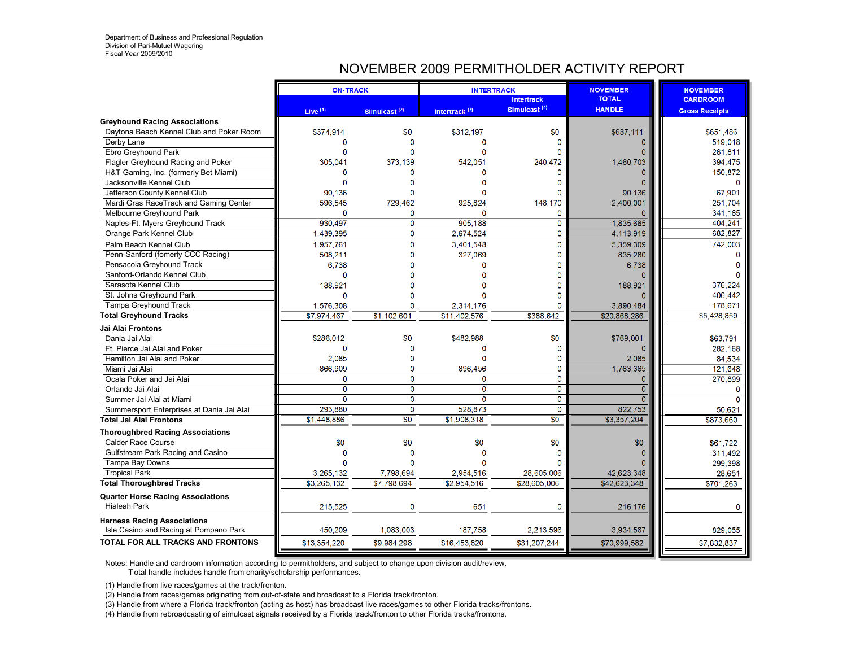# NOVEMBER 2009 PERMITHOLDER ACTIVITY REPORT

|                                                                 | <b>ON-TRACK</b> |                          | <b>INTERTRACK</b>         |                          | <b>NOVEMBER</b> | <b>NOVEMBER</b>       |
|-----------------------------------------------------------------|-----------------|--------------------------|---------------------------|--------------------------|-----------------|-----------------------|
|                                                                 |                 |                          |                           | <b>Intertrack</b>        | <b>TOTAL</b>    | <b>CARDROOM</b>       |
|                                                                 | Live $(1)$      | Simulcast <sup>(2)</sup> | Intertrack <sup>(3)</sup> | Simulcast <sup>(4)</sup> | <b>HANDLE</b>   | <b>Gross Receipts</b> |
| <b>Greyhound Racing Associations</b>                            |                 |                          |                           |                          |                 |                       |
| Daytona Beach Kennel Club and Poker Room                        | \$374,914       | \$0                      | \$312,197                 | \$0                      | \$687,111       | \$651.486             |
| Derby Lane                                                      | $\Omega$        | $\Omega$                 | O                         | $\Omega$                 | $\Omega$        | 519,018               |
| Ebro Greyhound Park                                             | $\Omega$        |                          | n                         |                          |                 | 261,811               |
| Flagler Greyhound Racing and Poker                              | 305.041         | 373.139                  | 542.051                   | 240.472                  | 1,460,703       | 394,475               |
| H&T Gaming, Inc. (formerly Bet Miami)                           | O               | n                        | O                         | n                        |                 | 150,872               |
| Jacksonville Kennel Club                                        | $\Omega$        |                          | n                         | ∩                        |                 | n                     |
| Jefferson County Kennel Club                                    | 90.136          |                          | $\Omega$                  |                          | 90.136          | 67.901                |
| Mardi Gras RaceTrack and Gaming Center                          | 596,545         | 729,462                  | 925,824                   | 148,170                  | 2,400,001       | 251,704               |
| Melbourne Greyhound Park                                        | $\Omega$        | $\Omega$                 | $\Omega$                  | 0                        | n               | 341,185               |
| Naples-Ft. Myers Greyhound Track                                | 930.497         | $\mathbf 0$              | 905.188                   | $\mathbf 0$              | 1.835.685       | 404.241               |
| Orange Park Kennel Club                                         | 1,439,395       | $\mathbf 0$              | 2,674,524                 | $\mathbf{0}$             | 4,113,919       | 682,827               |
| Palm Beach Kennel Club                                          | 1,957,761       | $\mathbf 0$              | 3,401,548                 | $\mathbf{0}$             | 5,359,309       | 742,003               |
| Penn-Sanford (fomerly CCC Racing)                               | 508.211         | $\Omega$                 | 327,069                   | $\Omega$                 | 835.280         |                       |
| Pensacola Greyhound Track                                       | 6.738           | O                        | $\Omega$                  | $\Omega$                 | 6,738           |                       |
| Sanford-Orlando Kennel Club                                     | $\mathbf{0}$    |                          |                           |                          |                 |                       |
| Sarasota Kennel Club                                            | 188,921         |                          |                           |                          | 188,921         | 376,224               |
| St. Johns Greyhound Park                                        | $\Omega$        |                          |                           |                          |                 | 406,442               |
| Tampa Greyhound Track                                           | 1,576,308       | $\Omega$                 | 2,314,176                 | n                        | 3,890,484       | 178,671               |
| <b>Total Greyhound Tracks</b>                                   | \$7,974,467     | \$1,102,601              | \$11,402,576              | \$388,642                | \$20,868,286    | \$5,428,859           |
| Jai Alai Frontons                                               |                 |                          |                           |                          |                 |                       |
| Dania Jai Alai                                                  | \$286,012       | \$0                      | \$482,988                 | \$0                      | \$769,001       | \$63,791              |
| Ft. Pierce Jai Alai and Poker                                   | $\mathbf 0$     | $\Omega$                 | 0                         | C                        | $\Omega$        | 282.168               |
| Hamilton Jai Alai and Poker                                     | 2.085           | $\mathbf 0$              | $\Omega$                  | $\mathbf{0}$             | 2,085           | 84,534                |
| Miami Jai Alai                                                  | 866,909         | $\Omega$                 | 896,456                   | $\mathbf 0$              | 1,763,365       | 121,648               |
| Ocala Poker and Jai Alai                                        | $\mathbf 0$     | 0                        | 0                         | $\mathbf 0$              | $\mathbf{0}$    | 270,899               |
| Orlando Jai Alai                                                | $\mathbf 0$     | $\mathbf 0$              | $\overline{0}$            | $\mathbf 0$              | $\Omega$        | O                     |
| Summer Jai Alai at Miami                                        | $\Omega$        | $\Omega$                 | 0                         | $\mathbf 0$              | $\Omega$        | n                     |
| Summersport Enterprises at Dania Jai Alai                       | 293,880         | 0                        | 528,873                   | $\mathbf{0}$             | 822,753         | 50,621                |
| <b>Total Jai Alai Frontons</b>                                  | \$1,448.886     | $\overline{30}$          | \$1,908,318               | $\overline{30}$          | \$3,357,204     | \$873,660             |
| <b>Thoroughbred Racing Associations</b>                         |                 |                          |                           |                          |                 |                       |
| <b>Calder Race Course</b>                                       | \$0             | \$0                      | \$0                       | \$0                      | \$0             | \$61,722              |
| Gulfstream Park Racing and Casino                               | $\Omega$        | n                        | n                         |                          | n               | 311,492               |
| Tampa Bay Downs                                                 |                 |                          |                           |                          |                 | 299,398               |
| <b>Tropical Park</b>                                            | 3,265,132       | 7,798,694                | 2,954,516                 | 28,605,006               | 42,623,348      | 28,651                |
| <b>Total Thoroughbred Tracks</b>                                | \$3,265,132     | \$7,798,694              | \$2,954,516               | \$28,605,006             | \$42,623,348    | \$701,263             |
|                                                                 |                 |                          |                           |                          |                 |                       |
| <b>Quarter Horse Racing Associations</b><br><b>Hialeah Park</b> | 215,525         | $\mathbf 0$              | 651                       | $\mathbf 0$              | 216,176         |                       |
|                                                                 |                 |                          |                           |                          |                 | o                     |
| <b>Harness Racing Associations</b>                              |                 |                          |                           |                          |                 |                       |
| Isle Casino and Racing at Pompano Park                          | 450.209         | 1.083.003                | 187.758                   | 2,213,596                | 3,934,567       | 829,055               |
| <b>TOTAL FOR ALL TRACKS AND FRONTONS</b>                        | \$13,354,220    | \$9,984,298              | \$16,453,820              | \$31,207,244             | \$70,999,582    | \$7,832,837           |

Notes: Handle and cardroom information according to permitholders, and subject to change upon division audit/review.

T otal handle includes handle from charity/scholarship performances.

(1) Handle from live races/games at the track/fronton.

(2) Handle from races/games originating from out-of-state and broadcast to a Florida track/fronton.

(3) Handle from where a Florida track/fronton (acting as host) has broadcast live races/games to other Florida tracks/frontons.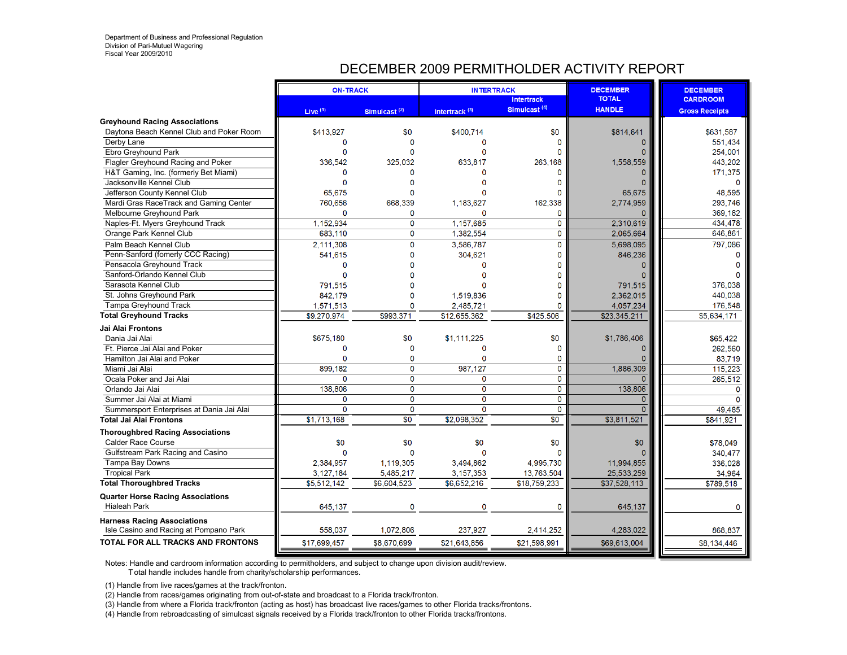# DECEMBER 2009 PERMITHOLDER ACTIVITY REPORT

|                                                                              | <b>ON-TRACK</b> |                          |                           | <b>INTERTRACK</b>        | <b>DECEMBER</b> | <b>DECEMBER</b>       |
|------------------------------------------------------------------------------|-----------------|--------------------------|---------------------------|--------------------------|-----------------|-----------------------|
|                                                                              |                 |                          |                           | <b>Intertrack</b>        | <b>TOTAL</b>    | <b>CARDROOM</b>       |
|                                                                              | Live $(1)$      | Simulcast <sup>(2)</sup> | Intertrack <sup>(3)</sup> | Simulcast <sup>(4)</sup> | <b>HANDLE</b>   | <b>Gross Receipts</b> |
| <b>Greyhound Racing Associations</b>                                         |                 |                          |                           |                          |                 |                       |
| Daytona Beach Kennel Club and Poker Room                                     | \$413,927       | \$0                      | \$400,714                 | \$0                      | \$814,641       | \$631.587             |
| Derby Lane                                                                   | $\mathbf{0}$    | O                        | O                         | n                        | 0               | 551,434               |
| Ebro Greyhound Park                                                          | $\Omega$        |                          | n                         |                          |                 | 254,001               |
| Flagler Greyhound Racing and Poker                                           | 336.542         | 325.032                  | 633.817                   | 263.168                  | 1.558.559       | 443,202               |
| H&T Gaming, Inc. (formerly Bet Miami)                                        | $\Omega$        | n                        |                           |                          |                 | 171,375               |
| Jacksonville Kennel Club                                                     | $\Omega$        | $\Omega$                 |                           | n                        | n               | ŋ                     |
| Jefferson County Kennel Club                                                 | 65.675          |                          |                           |                          | 65.675          | 48.595                |
| Mardi Gras RaceTrack and Gaming Center                                       | 760,656         | 668,339                  | 1,183,627                 | 162,338                  | 2,774,959       | 293,746               |
| Melbourne Greyhound Park                                                     | $\Omega$        | 0                        | $\Omega$                  | $\mathbf{0}$             | 0               | 369,182               |
| Naples-Ft. Myers Greyhound Track                                             | 1.152.934       | 0                        | 1.157.685                 | 0                        | 2.310.619       | 434.478               |
| Orange Park Kennel Club                                                      | 683,110         | $\mathbf 0$              | 1,382,554                 | $\mathbf{0}$             | 2,065,664       | 646,861               |
| Palm Beach Kennel Club                                                       | 2,111,308       | $\overline{0}$           | 3,586,787                 | $\mathbf{0}$             | 5.698.095       | 797,086               |
| Penn-Sanford (fomerly CCC Racing)                                            | 541,615         | $\Omega$                 | 304,621                   | $\Omega$                 | 846,236         |                       |
| Pensacola Greyhound Track                                                    | $\mathbf 0$     | O                        | O                         | n                        | n               |                       |
| Sanford-Orlando Kennel Club                                                  | $\Omega$        |                          |                           |                          |                 |                       |
| Sarasota Kennel Club                                                         | 791,515         |                          |                           |                          | 791,515         | 376,038               |
| St. Johns Greyhound Park                                                     | 842,179         |                          | 1,519,836                 |                          | 2,362,015       | 440,038               |
| Tampa Greyhound Track                                                        | 1,571,513       |                          | 2,485,721                 | O                        | 4,057,234       | 176,548               |
| <b>Total Greyhound Tracks</b>                                                | \$9,270,974     | \$993,371                | \$12,655,362              | \$425,506                | \$23,345,211    | \$5,634,171           |
| <b>Jai Alai Frontons</b>                                                     |                 |                          |                           |                          |                 |                       |
| Dania Jai Alai                                                               | \$675.180       | \$0                      | \$1.111.225               | \$0                      | \$1,786,406     | \$65.422              |
| Ft. Pierce Jai Alai and Poker                                                | $\Omega$        | $\Omega$                 | $\Omega$                  | $\sqrt{ }$               | 0               | 262,560               |
| Hamilton Jai Alai and Poker                                                  | $\Omega$        | 0                        | $\Omega$                  | $\mathbf{0}$             |                 | 83,719                |
| Miami Jai Alai                                                               | 899,182         | 0                        | 987,127                   | $\mathbf 0$              | 1,886,309       | 115,223               |
| Ocala Poker and Jai Alai                                                     | $\Omega$        | $\overline{0}$           | $\mathbf 0$               | $\mathbf 0$              | $\Omega$        | 265,512               |
| Orlando Jai Alai                                                             | 138,806         | 0                        | $\overline{0}$            | $\mathbf 0$              | 138,806         | $\Omega$              |
| Summer Jai Alai at Miami                                                     | 0               | $\overline{0}$           | $\overline{0}$            | $\mathbf 0$              | $\Omega$        | O                     |
| Summersport Enterprises at Dania Jai Alai                                    | $\Omega$        | $\Omega$                 | $\Omega$                  | $\Omega$                 | n               | 49,485                |
| <b>Total Jai Alai Frontons</b>                                               | \$1,713,168     | $\overline{30}$          | \$2,098,352               | $\overline{30}$          | \$3,811,521     | \$841,921             |
| <b>Thoroughbred Racing Associations</b>                                      |                 |                          |                           |                          |                 |                       |
| <b>Calder Race Course</b>                                                    | \$0             | \$0                      | \$0                       | \$0                      | \$0             | \$78,049              |
| Gulfstream Park Racing and Casino                                            | $\Omega$        | $\Omega$                 | n                         |                          |                 | 340,477               |
| Tampa Bay Downs                                                              | 2,384,957       | 1,119,305                | 3.494.862                 | 4.995.730                | 11,994,855      | 336,028               |
| <b>Tropical Park</b>                                                         | 3, 127, 184     | 5,485,217                | 3,157,353                 | 13,763,504               | 25,533,259      | 34,964                |
| <b>Total Thoroughbred Tracks</b>                                             | \$5,512,142     | \$6,604,523              | \$6,652,216               | \$18,759,233             | \$37,528,113    | \$789,518             |
|                                                                              |                 |                          |                           |                          |                 |                       |
| <b>Quarter Horse Racing Associations</b><br><b>Hialeah Park</b>              | 645,137         |                          | $\Omega$                  | $\mathsf{C}$             | 645,137         |                       |
|                                                                              |                 |                          |                           |                          |                 |                       |
| <b>Harness Racing Associations</b><br>Isle Casino and Racing at Pompano Park | 558,037         | 1.072.806                | 237.927                   | 2,414,252                | 4,283,022       | 868,837               |
| TOTAL FOR ALL TRACKS AND FRONTONS                                            | \$17,699,457    | \$8,670,699              | \$21,643,856              | \$21,598,991             | \$69,613,004    | \$8,134,446           |
|                                                                              |                 |                          |                           |                          |                 |                       |

Notes: Handle and cardroom information according to permitholders, and subject to change upon division audit/review.

T otal handle includes handle from charity/scholarship performances.

(1) Handle from live races/games at the track/fronton.

(2) Handle from races/games originating from out-of-state and broadcast to a Florida track/fronton.

(3) Handle from where a Florida track/fronton (acting as host) has broadcast live races/games to other Florida tracks/frontons.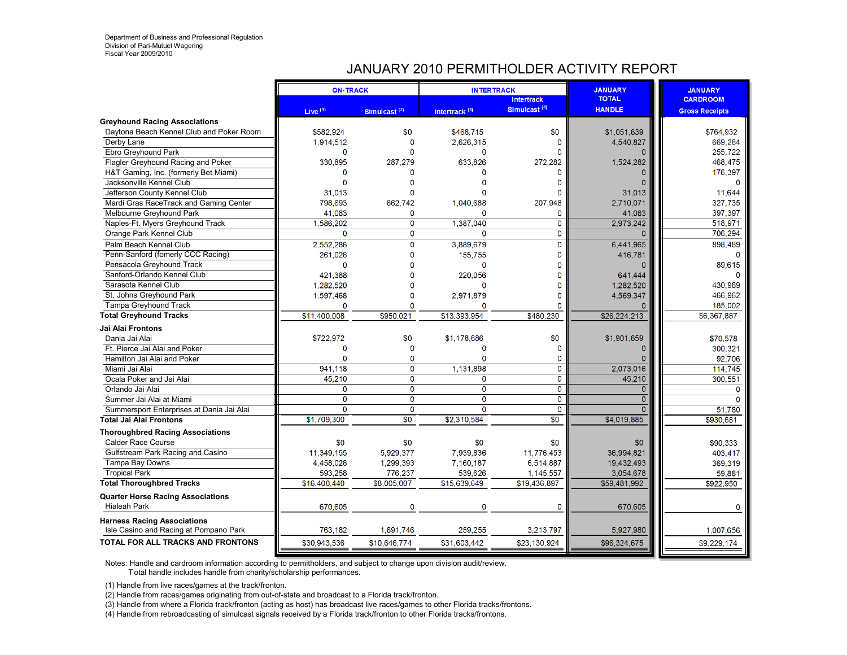# JANUARY 2010 PERMITHOLDER ACTIVITY REPORT

|                                                                              | <b>ON-TRACK</b> |                 | <b>INTERTRACK</b>         | <b>Intertrack</b>        | <b>JANUARY</b><br><b>TOTAL</b> | <b>JANUARY</b><br><b>CARDROOM</b> |
|------------------------------------------------------------------------------|-----------------|-----------------|---------------------------|--------------------------|--------------------------------|-----------------------------------|
|                                                                              | Live $(1)$      | Simulcast $(2)$ | Intertrack <sup>(3)</sup> | Simulcast <sup>(4)</sup> | <b>HANDLE</b>                  | <b>Gross Receipts</b>             |
| <b>Greyhound Racing Associations</b>                                         |                 |                 |                           |                          |                                |                                   |
| Daytona Beach Kennel Club and Poker Room                                     | \$582.924       | \$0             | \$468.715                 | \$0                      | \$1.051.639                    | \$764.932                         |
| Derby Lane                                                                   | 1,914,512       | $\mathbf{0}$    | 2,626,315                 | 0                        | 4,540,827                      | 669,264                           |
| Ebro Greyhound Park                                                          | $\Omega$        |                 | $\Omega$                  |                          |                                | 255,722                           |
| Flagler Greyhound Racing and Poker                                           | 330.895         | 287.279         | 633.826                   | 272.282                  | 1,524,282                      | 468,475                           |
| H&T Gaming, Inc. (formerly Bet Miami)                                        | $\Omega$        | $\Omega$        | $\Omega$                  |                          |                                | 176,397                           |
| Jacksonville Kennel Club                                                     | $\Omega$        |                 | $\Omega$                  |                          | $\Omega$                       | 0                                 |
| Jefferson County Kennel Club                                                 | 31.013          |                 | n                         |                          | 31.013                         | 11,644                            |
| Mardi Gras RaceTrack and Gaming Center                                       | 798,693         | 662,742         | 1,040,688                 | 207,948                  | 2.710.071                      | 327,735                           |
| Melbourne Greyhound Park                                                     | 41.083          | 0               | 0                         | 0                        | 41,083                         | 397,397                           |
| Naples-Ft. Myers Greyhound Track                                             | 1.586.202       | $\mathbf 0$     | 1.387.040                 | $\Omega$                 | 2.973.242                      | 518.971                           |
| Orange Park Kennel Club                                                      | $\mathbf 0$     | $\mathbf{0}$    | $\Omega$                  | $\mathbf 0$              | $\Omega$                       | 706,294                           |
| Palm Beach Kennel Club                                                       | 2,552,286       | $\mathbf 0$     | 3,889,679                 | $\mathbf{0}$             | 6,441,965                      | 898,489                           |
| Penn-Sanford (fomerly CCC Racing)                                            | 261,026         | $\Omega$        | 155,755                   | O                        | 416,781                        | $\Omega$                          |
| Pensacola Greyhound Track                                                    | $\mathbf 0$     | $\Omega$        | $\Omega$                  |                          |                                | 89,615                            |
| Sanford-Orlando Kennel Club                                                  | 421,388         |                 | 220.056                   |                          | 641.444                        | n                                 |
| Sarasota Kennel Club                                                         | 1,282,520       |                 | $\Omega$                  |                          | 1,282,520                      | 430,989                           |
| St. Johns Greyhound Park                                                     | 1,597,468       | $\Omega$        | 2.971.879                 | Ω                        | 4,569,347                      | 466.962                           |
| <b>Tampa Greyhound Track</b>                                                 | $\mathbf 0$     | $\Omega$        | $\Omega$                  | $\Omega$                 |                                | 185,002                           |
| <b>Total Greyhound Tracks</b>                                                | \$11,400,008    | \$950,021       | \$13,393,954              | \$480,230                | \$26,224,213                   | \$6,367,887                       |
| Jai Alai Frontons                                                            |                 |                 |                           |                          |                                |                                   |
| Dania Jai Alai                                                               | \$722,972       | \$0             | \$1,178,686               | \$0                      | \$1,901,659                    | \$70,578                          |
| Ft. Pierce Jai Alai and Poker                                                | $\mathbf{0}$    | $\Omega$        | $\Omega$                  | $\Omega$                 | $\mathbf{0}$                   | 300,321                           |
| Hamilton Jai Alai and Poker                                                  | $\Omega$        | $\mathbf 0$     | $\Omega$                  | 0                        |                                | 92,706                            |
| Miami Jai Alai                                                               | 941,118         | $\mathbf 0$     | 1,131,898                 | $\mathbf 0$              | 2,073,016                      | 114,745                           |
| Ocala Poker and Jai Alai                                                     | 45.210          | $\overline{0}$  | 0                         | $\mathbf 0$              | 45.210                         | 300,551                           |
| Orlando Jai Alai                                                             | $\mathbf 0$     | $\overline{0}$  | $\overline{0}$            | $\overline{0}$           | $\overline{0}$                 | $\Omega$                          |
| Summer Jai Alai at Miami                                                     | $\mathbf 0$     | $\mathbf 0$     | 0                         | $\mathbf{0}$             | $\overline{0}$                 | $\Omega$                          |
| Summersport Enterprises at Dania Jai Alai                                    | $\Omega$        | $\mathbf 0$     | $\Omega$                  | $\mathbf 0$              | $\Omega$                       | 51,780                            |
| <b>Total Jai Alai Frontons</b>                                               | \$1,709,300     | $\overline{30}$ | \$2.310.584               | $\overline{30}$          | \$4,019,885                    | \$930.681                         |
| <b>Thoroughbred Racing Associations</b>                                      |                 |                 |                           |                          |                                |                                   |
| <b>Calder Race Course</b>                                                    | \$0             | \$0             | \$0                       | \$0                      | \$0                            | \$90,333                          |
| Gulfstream Park Racing and Casino                                            | 11,349,155      | 5.929.377       | 7.939.836                 | 11.776.453               | 36.994.821                     | 403,417                           |
| Tampa Bay Downs                                                              | 4,458,026       | 1,299,393       | 7,160,187                 | 6,514,887                | 19,432,493                     | 369,319                           |
| <b>Tropical Park</b>                                                         | 593,258         | 776,237         | 539,626                   | 1,145,557                | 3,054,678                      | 59,881                            |
| <b>Total Thoroughbred Tracks</b>                                             | \$16,400,440    | \$8,005,007     | \$15,639,649              | \$19.436.897             | \$59,481,992                   | \$922,950                         |
|                                                                              |                 |                 |                           |                          |                                |                                   |
| <b>Quarter Horse Racing Associations</b><br><b>Hialeah Park</b>              | 670,605         | $\mathbf 0$     | 0                         | $\mathbf{0}$             | 670,605                        | 0                                 |
|                                                                              |                 |                 |                           |                          |                                |                                   |
| <b>Harness Racing Associations</b><br>Isle Casino and Racing at Pompano Park | 763,182         | 1.691.746       | 259.255                   | 3,213,797                | 5,927,980                      | 1,007,656                         |
| <b>TOTAL FOR ALL TRACKS AND FRONTONS</b>                                     | \$30,943,536    | \$10,646,774    | \$31,603,442              | \$23,130,924             | \$96,324,675                   | \$9,229,174                       |

Notes: Handle and cardroom information according to permitholders, and subject to change upon division audit/review.

T otal handle includes handle from charity/scholarship performances.

(1) Handle from live races/games at the track/fronton.

(2) Handle from races/games originating from out-of-state and broadcast to a Florida track/fronton.

(3) Handle from where a Florida track/fronton (acting as host) has broadcast live races/games to other Florida tracks/frontons.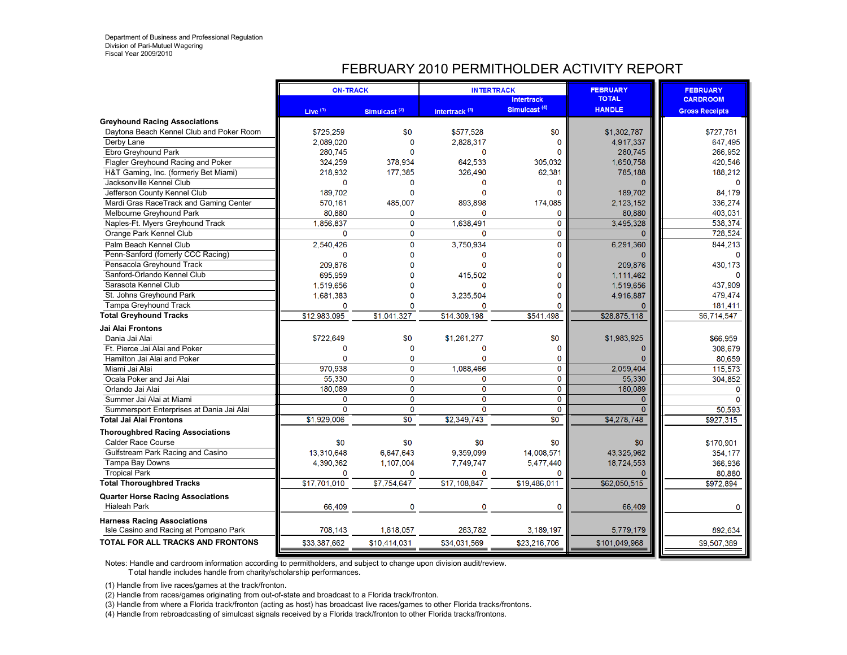# FEBRUARY 2010 PERMITHOLDER ACTIVITY REPORT

|                                           | <b>ON-TRACK</b> |                          | <b>INTERTRACK</b>         |                                               | <b>FEBRUARY</b>               | <b>FEBRUARY</b>       |
|-------------------------------------------|-----------------|--------------------------|---------------------------|-----------------------------------------------|-------------------------------|-----------------------|
|                                           |                 |                          |                           | <b>Intertrack</b><br>Simulcast <sup>(4)</sup> | <b>TOTAL</b><br><b>HANDLE</b> | <b>CARDROOM</b>       |
|                                           | Live $(1)$      | Simulcast <sup>(2)</sup> | Intertrack <sup>(3)</sup> |                                               |                               | <b>Gross Receipts</b> |
| <b>Greyhound Racing Associations</b>      |                 |                          |                           |                                               |                               |                       |
| Daytona Beach Kennel Club and Poker Room  | \$725.259       | \$0                      | \$577.528                 | \$0                                           | \$1,302,787                   | \$727.781             |
| Derby Lane                                | 2,089,020       | $\mathbf{0}$<br>$\Omega$ | 2,828,317<br>$\Omega$     | n                                             | 4,917,337                     | 647,495               |
| Ebro Greyhound Park                       | 280,745         |                          |                           |                                               | 280,745                       | 266,952               |
| Flagler Greyhound Racing and Poker        | 324.259         | 378.934                  | 642.533                   | 305.032                                       | 1,650,758                     | 420,546               |
| H&T Gaming, Inc. (formerly Bet Miami)     | 218,932         | 177,385                  | 326,490                   | 62,381                                        | 785,188                       | 188,212               |
| Jacksonville Kennel Club                  | $\Omega$        | $\mathbf 0$              | 0                         | O                                             |                               | O                     |
| Jefferson County Kennel Club              | 189.702         | $\Omega$                 | $\Omega$                  | n                                             | 189.702                       | 84.179                |
| Mardi Gras RaceTrack and Gaming Center    | 570,161         | 485,007                  | 893,898                   | 174,085                                       | 2,123,152                     | 336,274               |
| Melbourne Greyhound Park                  | 80,880          | 0                        | 0                         | 0                                             | 80,880                        | 403,031               |
| Naples-Ft. Myers Greyhound Track          | 1.856.837       | $\mathbf 0$              | 1.638.491                 | $\Omega$                                      | 3.495.328                     | 538.374               |
| Orange Park Kennel Club                   | $\mathbf{0}$    | $\mathbf 0$              | $\Omega$                  | 0                                             | $\Omega$                      | 728,524               |
| Palm Beach Kennel Club                    | 2,540,426       | $\mathbf{O}$             | 3,750,934                 | 0                                             | 6,291,360                     | 844,213               |
| Penn-Sanford (fomerly CCC Racing)         | $\mathbf 0$     | $\Omega$                 | $\Omega$                  | n                                             |                               |                       |
| Pensacola Greyhound Track                 | 209.876         | $\Omega$                 | $\Omega$                  |                                               | 209.876                       | 430,173               |
| Sanford-Orlando Kennel Club               | 695,959         | $\Omega$                 | 415.502                   |                                               | 1,111,462                     |                       |
| Sarasota Kennel Club                      | 1,519,656       | $\Omega$                 | $\Omega$                  | O                                             | 1,519,656                     | 437,909               |
| St. Johns Greyhound Park                  | 1,681,383       | $\Omega$                 | 3.235.504                 | n                                             | 4.916.887                     | 479.474               |
| Tampa Greyhound Track                     | $\mathbf{0}$    | $\Omega$                 | $\mathbf{0}$              | O                                             |                               | 181,411               |
| <b>Total Greyhound Tracks</b>             | \$12,983,095    | \$1,041,327              | \$14,309,198              | \$541,498                                     | \$28,875,118                  | \$6,714,547           |
| Jai Alai Frontons                         |                 |                          |                           |                                               |                               |                       |
| Dania Jai Alai                            | \$722,649       | \$0                      | \$1,261,277               | \$0                                           | \$1,983,925                   | \$66,959              |
| Ft. Pierce Jai Alai and Poker             | $\Omega$        | $\mathbf 0$              | $\Omega$                  | $\Omega$                                      | $\Omega$                      | 308,679               |
| Hamilton Jai Alai and Poker               | $\mathbf{0}$    | $\mathbf 0$              | $\Omega$                  | 0                                             |                               | 80,659                |
| Miami Jai Alai                            | 970,938         | $\mathbf 0$              | 1,088,466                 | 0                                             | 2,059,404                     | 115,573               |
| Ocala Poker and Jai Alai                  | 55,330          | $\overline{0}$           | 0                         | $\mathbf 0$                                   | 55.330                        | 304,852               |
| Orlando Jai Alai                          | 180,089         | $\overline{0}$           | $\overline{0}$            | 0                                             | 180.089                       | $\Omega$              |
| Summer Jai Alai at Miami                  | 0               | $\mathbf 0$              | 0                         | 0                                             | $\Omega$                      |                       |
| Summersport Enterprises at Dania Jai Alai | $\Omega$        | $\mathbf 0$              | $\Omega$                  | $\mathbf 0$                                   |                               | 50,593                |
| <b>Total Jai Alai Frontons</b>            | \$1,929,006     | $\overline{30}$          | \$2.349.743               | $\overline{\$0}$                              | \$4,278,748                   | \$927,315             |
| <b>Thoroughbred Racing Associations</b>   |                 |                          |                           |                                               |                               |                       |
| <b>Calder Race Course</b>                 | \$0             | \$0                      | \$0                       | \$0                                           | \$0                           | \$170,901             |
| Gulfstream Park Racing and Casino         | 13.310.648      | 6.647.643                | 9.359.099                 | 14.008.571                                    | 43.325.962                    | 354,177               |
| Tampa Bay Downs                           | 4,390,362       | 1,107,004                | 7.749.747                 | 5,477,440                                     | 18,724,553                    | 366,936               |
| <b>Tropical Park</b>                      | $\mathbf 0$     | 0                        | 0                         | 0                                             |                               | 80,880                |
| <b>Total Thoroughbred Tracks</b>          | \$17,701,010    | \$7,754,647              | \$17,108,847              | \$19,486,011                                  | \$62,050,515                  | \$972.894             |
|                                           |                 |                          |                           |                                               |                               |                       |
| <b>Quarter Horse Racing Associations</b>  |                 |                          |                           |                                               |                               |                       |
| <b>Hialeah Park</b>                       | 66,409          | $\mathbf 0$              | $\mathbf 0$               | $\mathbf 0$                                   | 66,409                        | O                     |
| <b>Harness Racing Associations</b>        |                 |                          |                           |                                               |                               |                       |
| Isle Casino and Racing at Pompano Park    | 708,143         | 1.618.057                | 263.782                   | 3,189,197                                     | 5,779,179                     | 892,634               |
| <b>TOTAL FOR ALL TRACKS AND FRONTONS</b>  | \$33,387,662    | \$10,414,031             | \$34,031,569              | \$23,216,706                                  | \$101,049,968                 | \$9,507,389           |

Notes: Handle and cardroom information according to permitholders, and subject to change upon division audit/review.

T otal handle includes handle from charity/scholarship performances.

(1) Handle from live races/games at the track/fronton.

(2) Handle from races/games originating from out-of-state and broadcast to a Florida track/fronton.

(3) Handle from where a Florida track/fronton (acting as host) has broadcast live races/games to other Florida tracks/frontons.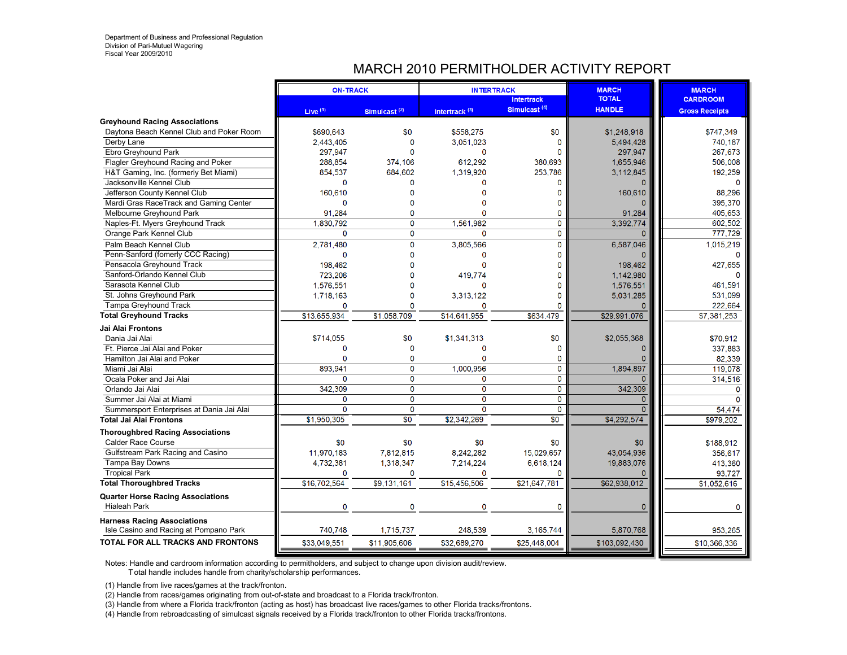# MARCH 2010 PERMITHOLDER ACTIVITY REPORT

| Simulcast <sup>(4)</sup><br><b>HANDLE</b><br>Live <sup>(1)</sup><br>Intertrack <sup>(3)</sup><br>Simulcast $(2)$<br><b>Gross Receipts</b><br><b>Greyhound Racing Associations</b><br>Daytona Beach Kennel Club and Poker Room<br>\$690.643<br>\$0<br>\$558.275<br>\$0<br>\$1,248,918<br>\$747.349<br>2,443,405<br>$\mathbf{0}$<br>5,494,428<br>740,187<br>3,051,023<br>Derby Lane<br>0<br>267,673<br>Ebro Greyhound Park<br>297.947<br>297.947<br>$\Omega$<br>Flagler Greyhound Racing and Poker<br>612.292<br>1.655.946<br>506,008<br>288.854<br>374.106<br>380.693<br>854,537<br>684.602<br>1,319,920<br>253,786<br>3,112,845<br>192,259<br>H&T Gaming, Inc. (formerly Bet Miami)<br>0<br>Jacksonville Kennel Club<br>n<br>$\Omega$<br>O<br>160.610<br>160,610<br>88,296<br>Jefferson County Kennel Club<br>n<br>O<br>395,370<br>$\Omega$<br>Mardi Gras RaceTrack and Gaming Center<br>O<br>0<br>91,284<br>405,653<br>91,284<br>Melbourne Greyhound Park<br>$\Omega$<br>0<br>$\Omega$<br>3.392.774<br>602.502<br>1.830.792<br>1.561.982<br>$\Omega$<br>Naples-Ft. Myers Greyhound Track<br>$\mathbf 0$<br>$\mathbf 0$<br>$\mathbf{0}$<br>$\Omega$<br>777,729<br>Orange Park Kennel Club<br>$\Omega$<br>$\mathbf 0$<br>3,805,566<br>$\mathbf 0$<br>6,587,046<br>2,781,480<br>1,015,219<br>Palm Beach Kennel Club<br>Penn-Sanford (fomerly CCC Racing)<br>$\mathbf 0$<br>$\Omega$<br>$\Omega$<br>$\Omega$<br>198.462<br>$\Omega$<br>198,462<br>427,655<br>Pensacola Greyhound Track<br>1,142,980<br>723,206<br>419.774<br>Sanford-Orlando Kennel Club<br>1,576,551<br>1,576,551<br>461,591<br>Sarasota Kennel Club<br>$\Omega$<br>5.031.285<br>St. Johns Greyhound Park<br>531,099<br>1,718,163<br>$\Omega$<br>3.313.122<br>O<br>Tampa Greyhound Track<br>$\Omega$<br>222,664<br>$\mathbf 0$<br>$\Omega$<br>n<br>\$13,655,934<br>\$14,641,955<br>\$29,991,076<br>\$1,058,709<br>\$634,479<br>\$7,381,253<br>Jai Alai Frontons<br>\$0<br>\$0<br>\$2,055,368<br>\$714.055<br>\$1,341,313<br>\$70,912<br>Dania Jai Alai<br>Ft. Pierce Jai Alai and Poker<br>0<br>$\Omega$<br>337,883<br>$\Omega$<br>$\Omega$<br>$\mathbf{0}$<br>$\mathbf 0$<br>$\mathbf 0$<br>$\mathbf 0$<br>82,339<br>Hamilton Jai Alai and Poker<br>1,894,897<br>893.941<br>$\mathbf 0$<br>1,000,956<br>0<br>119,078<br>Miami Jai Alai<br>$\overline{0}$<br>$\Omega$<br>$\mathbf 0$<br>$\mathbf 0$<br>Ocala Poker and Jai Alai<br>$\Omega$<br>314,516<br>$\overline{0}$<br>$\overline{0}$<br>$\overline{0}$<br>342,309<br>342,309<br>Orlando Jai Alai<br>$\Omega$<br>$\mathbf 0$<br>$\mathbf 0$<br>$\mathbf{0}$<br>$\mathbf 0$<br>$\Omega$<br>Summer Jai Alai at Miami<br>$\Omega$<br>$\mathbf 0$<br>$\Omega$<br>$\mathbf 0$<br>Summersport Enterprises at Dania Jai Alai<br>54,474<br>$\overline{30}$<br>\$4,292,574<br>\$1.950.305<br>$\overline{\$0}$<br>\$2.342.269<br>\$979,202<br><b>Thoroughbred Racing Associations</b><br>\$0<br>\$0<br>\$0<br>\$0<br>\$188,912<br><b>Calder Race Course</b><br>\$0<br>43.054.936<br>Gulfstream Park Racing and Casino<br>11,970,183<br>7.812.815<br>8,242,282<br>15.029.657<br>356,617<br>19,883,076<br>Tampa Bay Downs<br>4,732,381<br>1,318,347<br>7,214,224<br>6.618.124<br>413,360<br><b>Tropical Park</b><br>0<br>0<br>$\mathbf{0}$<br>93,727<br>0<br>\$16,702,564<br>\$15,456,506<br>\$62,938,012<br>\$9,131,161<br>\$21,647,781<br>\$1,052,616<br><b>Quarter Horse Racing Associations</b><br>$\mathbf 0$<br><b>Hialeah Park</b><br>$\mathbf 0$<br>$\Omega$<br>0<br>$\mathbf 0$<br>0<br><b>Harness Racing Associations</b><br>740.748<br>1.715.737<br>248,539<br>3.165.744<br>5,870,768<br>953,265<br>Isle Casino and Racing at Pompano Park<br>\$103,092,430<br>\$10,366,336<br>\$33,049,551<br>\$11,905,606<br>\$32,689,270<br>\$25,448,004 |                                          | <b>ON-TRACK</b> | <b>INTERTRACK</b> |                   | <b>MARCH</b><br><b>TOTAL</b> | <b>MARCH</b>    |
|---------------------------------------------------------------------------------------------------------------------------------------------------------------------------------------------------------------------------------------------------------------------------------------------------------------------------------------------------------------------------------------------------------------------------------------------------------------------------------------------------------------------------------------------------------------------------------------------------------------------------------------------------------------------------------------------------------------------------------------------------------------------------------------------------------------------------------------------------------------------------------------------------------------------------------------------------------------------------------------------------------------------------------------------------------------------------------------------------------------------------------------------------------------------------------------------------------------------------------------------------------------------------------------------------------------------------------------------------------------------------------------------------------------------------------------------------------------------------------------------------------------------------------------------------------------------------------------------------------------------------------------------------------------------------------------------------------------------------------------------------------------------------------------------------------------------------------------------------------------------------------------------------------------------------------------------------------------------------------------------------------------------------------------------------------------------------------------------------------------------------------------------------------------------------------------------------------------------------------------------------------------------------------------------------------------------------------------------------------------------------------------------------------------------------------------------------------------------------------------------------------------------------------------------------------------------------------------------------------------------------------------------------------------------------------------------------------------------------------------------------------------------------------------------------------------------------------------------------------------------------------------------------------------------------------------------------------------------------------------------------------------------------------------------------------------------------------------------------------------------------------------------------------------------------------------------------------------------------------------------------------------------------------------------------------------------------------------------------------------------------------------------------------------------------------------------------------------------------------------------------------------------------------------------------------------------------------------------------------------------------------------------------------------------------------------------------------------------------------------------------------------|------------------------------------------|-----------------|-------------------|-------------------|------------------------------|-----------------|
|                                                                                                                                                                                                                                                                                                                                                                                                                                                                                                                                                                                                                                                                                                                                                                                                                                                                                                                                                                                                                                                                                                                                                                                                                                                                                                                                                                                                                                                                                                                                                                                                                                                                                                                                                                                                                                                                                                                                                                                                                                                                                                                                                                                                                                                                                                                                                                                                                                                                                                                                                                                                                                                                                                                                                                                                                                                                                                                                                                                                                                                                                                                                                                                                                                                                                                                                                                                                                                                                                                                                                                                                                                                                                                                                                               |                                          |                 |                   | <b>Intertrack</b> |                              | <b>CARDROOM</b> |
|                                                                                                                                                                                                                                                                                                                                                                                                                                                                                                                                                                                                                                                                                                                                                                                                                                                                                                                                                                                                                                                                                                                                                                                                                                                                                                                                                                                                                                                                                                                                                                                                                                                                                                                                                                                                                                                                                                                                                                                                                                                                                                                                                                                                                                                                                                                                                                                                                                                                                                                                                                                                                                                                                                                                                                                                                                                                                                                                                                                                                                                                                                                                                                                                                                                                                                                                                                                                                                                                                                                                                                                                                                                                                                                                                               |                                          |                 |                   |                   |                              |                 |
|                                                                                                                                                                                                                                                                                                                                                                                                                                                                                                                                                                                                                                                                                                                                                                                                                                                                                                                                                                                                                                                                                                                                                                                                                                                                                                                                                                                                                                                                                                                                                                                                                                                                                                                                                                                                                                                                                                                                                                                                                                                                                                                                                                                                                                                                                                                                                                                                                                                                                                                                                                                                                                                                                                                                                                                                                                                                                                                                                                                                                                                                                                                                                                                                                                                                                                                                                                                                                                                                                                                                                                                                                                                                                                                                                               |                                          |                 |                   |                   |                              |                 |
|                                                                                                                                                                                                                                                                                                                                                                                                                                                                                                                                                                                                                                                                                                                                                                                                                                                                                                                                                                                                                                                                                                                                                                                                                                                                                                                                                                                                                                                                                                                                                                                                                                                                                                                                                                                                                                                                                                                                                                                                                                                                                                                                                                                                                                                                                                                                                                                                                                                                                                                                                                                                                                                                                                                                                                                                                                                                                                                                                                                                                                                                                                                                                                                                                                                                                                                                                                                                                                                                                                                                                                                                                                                                                                                                                               |                                          |                 |                   |                   |                              |                 |
|                                                                                                                                                                                                                                                                                                                                                                                                                                                                                                                                                                                                                                                                                                                                                                                                                                                                                                                                                                                                                                                                                                                                                                                                                                                                                                                                                                                                                                                                                                                                                                                                                                                                                                                                                                                                                                                                                                                                                                                                                                                                                                                                                                                                                                                                                                                                                                                                                                                                                                                                                                                                                                                                                                                                                                                                                                                                                                                                                                                                                                                                                                                                                                                                                                                                                                                                                                                                                                                                                                                                                                                                                                                                                                                                                               |                                          |                 |                   |                   |                              |                 |
|                                                                                                                                                                                                                                                                                                                                                                                                                                                                                                                                                                                                                                                                                                                                                                                                                                                                                                                                                                                                                                                                                                                                                                                                                                                                                                                                                                                                                                                                                                                                                                                                                                                                                                                                                                                                                                                                                                                                                                                                                                                                                                                                                                                                                                                                                                                                                                                                                                                                                                                                                                                                                                                                                                                                                                                                                                                                                                                                                                                                                                                                                                                                                                                                                                                                                                                                                                                                                                                                                                                                                                                                                                                                                                                                                               |                                          |                 |                   |                   |                              |                 |
|                                                                                                                                                                                                                                                                                                                                                                                                                                                                                                                                                                                                                                                                                                                                                                                                                                                                                                                                                                                                                                                                                                                                                                                                                                                                                                                                                                                                                                                                                                                                                                                                                                                                                                                                                                                                                                                                                                                                                                                                                                                                                                                                                                                                                                                                                                                                                                                                                                                                                                                                                                                                                                                                                                                                                                                                                                                                                                                                                                                                                                                                                                                                                                                                                                                                                                                                                                                                                                                                                                                                                                                                                                                                                                                                                               |                                          |                 |                   |                   |                              |                 |
|                                                                                                                                                                                                                                                                                                                                                                                                                                                                                                                                                                                                                                                                                                                                                                                                                                                                                                                                                                                                                                                                                                                                                                                                                                                                                                                                                                                                                                                                                                                                                                                                                                                                                                                                                                                                                                                                                                                                                                                                                                                                                                                                                                                                                                                                                                                                                                                                                                                                                                                                                                                                                                                                                                                                                                                                                                                                                                                                                                                                                                                                                                                                                                                                                                                                                                                                                                                                                                                                                                                                                                                                                                                                                                                                                               |                                          |                 |                   |                   |                              |                 |
|                                                                                                                                                                                                                                                                                                                                                                                                                                                                                                                                                                                                                                                                                                                                                                                                                                                                                                                                                                                                                                                                                                                                                                                                                                                                                                                                                                                                                                                                                                                                                                                                                                                                                                                                                                                                                                                                                                                                                                                                                                                                                                                                                                                                                                                                                                                                                                                                                                                                                                                                                                                                                                                                                                                                                                                                                                                                                                                                                                                                                                                                                                                                                                                                                                                                                                                                                                                                                                                                                                                                                                                                                                                                                                                                                               |                                          |                 |                   |                   |                              |                 |
|                                                                                                                                                                                                                                                                                                                                                                                                                                                                                                                                                                                                                                                                                                                                                                                                                                                                                                                                                                                                                                                                                                                                                                                                                                                                                                                                                                                                                                                                                                                                                                                                                                                                                                                                                                                                                                                                                                                                                                                                                                                                                                                                                                                                                                                                                                                                                                                                                                                                                                                                                                                                                                                                                                                                                                                                                                                                                                                                                                                                                                                                                                                                                                                                                                                                                                                                                                                                                                                                                                                                                                                                                                                                                                                                                               |                                          |                 |                   |                   |                              |                 |
|                                                                                                                                                                                                                                                                                                                                                                                                                                                                                                                                                                                                                                                                                                                                                                                                                                                                                                                                                                                                                                                                                                                                                                                                                                                                                                                                                                                                                                                                                                                                                                                                                                                                                                                                                                                                                                                                                                                                                                                                                                                                                                                                                                                                                                                                                                                                                                                                                                                                                                                                                                                                                                                                                                                                                                                                                                                                                                                                                                                                                                                                                                                                                                                                                                                                                                                                                                                                                                                                                                                                                                                                                                                                                                                                                               |                                          |                 |                   |                   |                              |                 |
|                                                                                                                                                                                                                                                                                                                                                                                                                                                                                                                                                                                                                                                                                                                                                                                                                                                                                                                                                                                                                                                                                                                                                                                                                                                                                                                                                                                                                                                                                                                                                                                                                                                                                                                                                                                                                                                                                                                                                                                                                                                                                                                                                                                                                                                                                                                                                                                                                                                                                                                                                                                                                                                                                                                                                                                                                                                                                                                                                                                                                                                                                                                                                                                                                                                                                                                                                                                                                                                                                                                                                                                                                                                                                                                                                               |                                          |                 |                   |                   |                              |                 |
|                                                                                                                                                                                                                                                                                                                                                                                                                                                                                                                                                                                                                                                                                                                                                                                                                                                                                                                                                                                                                                                                                                                                                                                                                                                                                                                                                                                                                                                                                                                                                                                                                                                                                                                                                                                                                                                                                                                                                                                                                                                                                                                                                                                                                                                                                                                                                                                                                                                                                                                                                                                                                                                                                                                                                                                                                                                                                                                                                                                                                                                                                                                                                                                                                                                                                                                                                                                                                                                                                                                                                                                                                                                                                                                                                               |                                          |                 |                   |                   |                              |                 |
|                                                                                                                                                                                                                                                                                                                                                                                                                                                                                                                                                                                                                                                                                                                                                                                                                                                                                                                                                                                                                                                                                                                                                                                                                                                                                                                                                                                                                                                                                                                                                                                                                                                                                                                                                                                                                                                                                                                                                                                                                                                                                                                                                                                                                                                                                                                                                                                                                                                                                                                                                                                                                                                                                                                                                                                                                                                                                                                                                                                                                                                                                                                                                                                                                                                                                                                                                                                                                                                                                                                                                                                                                                                                                                                                                               |                                          |                 |                   |                   |                              |                 |
|                                                                                                                                                                                                                                                                                                                                                                                                                                                                                                                                                                                                                                                                                                                                                                                                                                                                                                                                                                                                                                                                                                                                                                                                                                                                                                                                                                                                                                                                                                                                                                                                                                                                                                                                                                                                                                                                                                                                                                                                                                                                                                                                                                                                                                                                                                                                                                                                                                                                                                                                                                                                                                                                                                                                                                                                                                                                                                                                                                                                                                                                                                                                                                                                                                                                                                                                                                                                                                                                                                                                                                                                                                                                                                                                                               |                                          |                 |                   |                   |                              |                 |
|                                                                                                                                                                                                                                                                                                                                                                                                                                                                                                                                                                                                                                                                                                                                                                                                                                                                                                                                                                                                                                                                                                                                                                                                                                                                                                                                                                                                                                                                                                                                                                                                                                                                                                                                                                                                                                                                                                                                                                                                                                                                                                                                                                                                                                                                                                                                                                                                                                                                                                                                                                                                                                                                                                                                                                                                                                                                                                                                                                                                                                                                                                                                                                                                                                                                                                                                                                                                                                                                                                                                                                                                                                                                                                                                                               |                                          |                 |                   |                   |                              |                 |
|                                                                                                                                                                                                                                                                                                                                                                                                                                                                                                                                                                                                                                                                                                                                                                                                                                                                                                                                                                                                                                                                                                                                                                                                                                                                                                                                                                                                                                                                                                                                                                                                                                                                                                                                                                                                                                                                                                                                                                                                                                                                                                                                                                                                                                                                                                                                                                                                                                                                                                                                                                                                                                                                                                                                                                                                                                                                                                                                                                                                                                                                                                                                                                                                                                                                                                                                                                                                                                                                                                                                                                                                                                                                                                                                                               |                                          |                 |                   |                   |                              |                 |
|                                                                                                                                                                                                                                                                                                                                                                                                                                                                                                                                                                                                                                                                                                                                                                                                                                                                                                                                                                                                                                                                                                                                                                                                                                                                                                                                                                                                                                                                                                                                                                                                                                                                                                                                                                                                                                                                                                                                                                                                                                                                                                                                                                                                                                                                                                                                                                                                                                                                                                                                                                                                                                                                                                                                                                                                                                                                                                                                                                                                                                                                                                                                                                                                                                                                                                                                                                                                                                                                                                                                                                                                                                                                                                                                                               |                                          |                 |                   |                   |                              |                 |
|                                                                                                                                                                                                                                                                                                                                                                                                                                                                                                                                                                                                                                                                                                                                                                                                                                                                                                                                                                                                                                                                                                                                                                                                                                                                                                                                                                                                                                                                                                                                                                                                                                                                                                                                                                                                                                                                                                                                                                                                                                                                                                                                                                                                                                                                                                                                                                                                                                                                                                                                                                                                                                                                                                                                                                                                                                                                                                                                                                                                                                                                                                                                                                                                                                                                                                                                                                                                                                                                                                                                                                                                                                                                                                                                                               |                                          |                 |                   |                   |                              |                 |
|                                                                                                                                                                                                                                                                                                                                                                                                                                                                                                                                                                                                                                                                                                                                                                                                                                                                                                                                                                                                                                                                                                                                                                                                                                                                                                                                                                                                                                                                                                                                                                                                                                                                                                                                                                                                                                                                                                                                                                                                                                                                                                                                                                                                                                                                                                                                                                                                                                                                                                                                                                                                                                                                                                                                                                                                                                                                                                                                                                                                                                                                                                                                                                                                                                                                                                                                                                                                                                                                                                                                                                                                                                                                                                                                                               |                                          |                 |                   |                   |                              |                 |
|                                                                                                                                                                                                                                                                                                                                                                                                                                                                                                                                                                                                                                                                                                                                                                                                                                                                                                                                                                                                                                                                                                                                                                                                                                                                                                                                                                                                                                                                                                                                                                                                                                                                                                                                                                                                                                                                                                                                                                                                                                                                                                                                                                                                                                                                                                                                                                                                                                                                                                                                                                                                                                                                                                                                                                                                                                                                                                                                                                                                                                                                                                                                                                                                                                                                                                                                                                                                                                                                                                                                                                                                                                                                                                                                                               | <b>Total Greyhound Tracks</b>            |                 |                   |                   |                              |                 |
|                                                                                                                                                                                                                                                                                                                                                                                                                                                                                                                                                                                                                                                                                                                                                                                                                                                                                                                                                                                                                                                                                                                                                                                                                                                                                                                                                                                                                                                                                                                                                                                                                                                                                                                                                                                                                                                                                                                                                                                                                                                                                                                                                                                                                                                                                                                                                                                                                                                                                                                                                                                                                                                                                                                                                                                                                                                                                                                                                                                                                                                                                                                                                                                                                                                                                                                                                                                                                                                                                                                                                                                                                                                                                                                                                               |                                          |                 |                   |                   |                              |                 |
|                                                                                                                                                                                                                                                                                                                                                                                                                                                                                                                                                                                                                                                                                                                                                                                                                                                                                                                                                                                                                                                                                                                                                                                                                                                                                                                                                                                                                                                                                                                                                                                                                                                                                                                                                                                                                                                                                                                                                                                                                                                                                                                                                                                                                                                                                                                                                                                                                                                                                                                                                                                                                                                                                                                                                                                                                                                                                                                                                                                                                                                                                                                                                                                                                                                                                                                                                                                                                                                                                                                                                                                                                                                                                                                                                               |                                          |                 |                   |                   |                              |                 |
|                                                                                                                                                                                                                                                                                                                                                                                                                                                                                                                                                                                                                                                                                                                                                                                                                                                                                                                                                                                                                                                                                                                                                                                                                                                                                                                                                                                                                                                                                                                                                                                                                                                                                                                                                                                                                                                                                                                                                                                                                                                                                                                                                                                                                                                                                                                                                                                                                                                                                                                                                                                                                                                                                                                                                                                                                                                                                                                                                                                                                                                                                                                                                                                                                                                                                                                                                                                                                                                                                                                                                                                                                                                                                                                                                               |                                          |                 |                   |                   |                              |                 |
|                                                                                                                                                                                                                                                                                                                                                                                                                                                                                                                                                                                                                                                                                                                                                                                                                                                                                                                                                                                                                                                                                                                                                                                                                                                                                                                                                                                                                                                                                                                                                                                                                                                                                                                                                                                                                                                                                                                                                                                                                                                                                                                                                                                                                                                                                                                                                                                                                                                                                                                                                                                                                                                                                                                                                                                                                                                                                                                                                                                                                                                                                                                                                                                                                                                                                                                                                                                                                                                                                                                                                                                                                                                                                                                                                               |                                          |                 |                   |                   |                              |                 |
|                                                                                                                                                                                                                                                                                                                                                                                                                                                                                                                                                                                                                                                                                                                                                                                                                                                                                                                                                                                                                                                                                                                                                                                                                                                                                                                                                                                                                                                                                                                                                                                                                                                                                                                                                                                                                                                                                                                                                                                                                                                                                                                                                                                                                                                                                                                                                                                                                                                                                                                                                                                                                                                                                                                                                                                                                                                                                                                                                                                                                                                                                                                                                                                                                                                                                                                                                                                                                                                                                                                                                                                                                                                                                                                                                               |                                          |                 |                   |                   |                              |                 |
|                                                                                                                                                                                                                                                                                                                                                                                                                                                                                                                                                                                                                                                                                                                                                                                                                                                                                                                                                                                                                                                                                                                                                                                                                                                                                                                                                                                                                                                                                                                                                                                                                                                                                                                                                                                                                                                                                                                                                                                                                                                                                                                                                                                                                                                                                                                                                                                                                                                                                                                                                                                                                                                                                                                                                                                                                                                                                                                                                                                                                                                                                                                                                                                                                                                                                                                                                                                                                                                                                                                                                                                                                                                                                                                                                               |                                          |                 |                   |                   |                              |                 |
|                                                                                                                                                                                                                                                                                                                                                                                                                                                                                                                                                                                                                                                                                                                                                                                                                                                                                                                                                                                                                                                                                                                                                                                                                                                                                                                                                                                                                                                                                                                                                                                                                                                                                                                                                                                                                                                                                                                                                                                                                                                                                                                                                                                                                                                                                                                                                                                                                                                                                                                                                                                                                                                                                                                                                                                                                                                                                                                                                                                                                                                                                                                                                                                                                                                                                                                                                                                                                                                                                                                                                                                                                                                                                                                                                               |                                          |                 |                   |                   |                              |                 |
|                                                                                                                                                                                                                                                                                                                                                                                                                                                                                                                                                                                                                                                                                                                                                                                                                                                                                                                                                                                                                                                                                                                                                                                                                                                                                                                                                                                                                                                                                                                                                                                                                                                                                                                                                                                                                                                                                                                                                                                                                                                                                                                                                                                                                                                                                                                                                                                                                                                                                                                                                                                                                                                                                                                                                                                                                                                                                                                                                                                                                                                                                                                                                                                                                                                                                                                                                                                                                                                                                                                                                                                                                                                                                                                                                               |                                          |                 |                   |                   |                              |                 |
|                                                                                                                                                                                                                                                                                                                                                                                                                                                                                                                                                                                                                                                                                                                                                                                                                                                                                                                                                                                                                                                                                                                                                                                                                                                                                                                                                                                                                                                                                                                                                                                                                                                                                                                                                                                                                                                                                                                                                                                                                                                                                                                                                                                                                                                                                                                                                                                                                                                                                                                                                                                                                                                                                                                                                                                                                                                                                                                                                                                                                                                                                                                                                                                                                                                                                                                                                                                                                                                                                                                                                                                                                                                                                                                                                               |                                          |                 |                   |                   |                              |                 |
|                                                                                                                                                                                                                                                                                                                                                                                                                                                                                                                                                                                                                                                                                                                                                                                                                                                                                                                                                                                                                                                                                                                                                                                                                                                                                                                                                                                                                                                                                                                                                                                                                                                                                                                                                                                                                                                                                                                                                                                                                                                                                                                                                                                                                                                                                                                                                                                                                                                                                                                                                                                                                                                                                                                                                                                                                                                                                                                                                                                                                                                                                                                                                                                                                                                                                                                                                                                                                                                                                                                                                                                                                                                                                                                                                               | <b>Total Jai Alai Frontons</b>           |                 |                   |                   |                              |                 |
|                                                                                                                                                                                                                                                                                                                                                                                                                                                                                                                                                                                                                                                                                                                                                                                                                                                                                                                                                                                                                                                                                                                                                                                                                                                                                                                                                                                                                                                                                                                                                                                                                                                                                                                                                                                                                                                                                                                                                                                                                                                                                                                                                                                                                                                                                                                                                                                                                                                                                                                                                                                                                                                                                                                                                                                                                                                                                                                                                                                                                                                                                                                                                                                                                                                                                                                                                                                                                                                                                                                                                                                                                                                                                                                                                               |                                          |                 |                   |                   |                              |                 |
|                                                                                                                                                                                                                                                                                                                                                                                                                                                                                                                                                                                                                                                                                                                                                                                                                                                                                                                                                                                                                                                                                                                                                                                                                                                                                                                                                                                                                                                                                                                                                                                                                                                                                                                                                                                                                                                                                                                                                                                                                                                                                                                                                                                                                                                                                                                                                                                                                                                                                                                                                                                                                                                                                                                                                                                                                                                                                                                                                                                                                                                                                                                                                                                                                                                                                                                                                                                                                                                                                                                                                                                                                                                                                                                                                               |                                          |                 |                   |                   |                              |                 |
|                                                                                                                                                                                                                                                                                                                                                                                                                                                                                                                                                                                                                                                                                                                                                                                                                                                                                                                                                                                                                                                                                                                                                                                                                                                                                                                                                                                                                                                                                                                                                                                                                                                                                                                                                                                                                                                                                                                                                                                                                                                                                                                                                                                                                                                                                                                                                                                                                                                                                                                                                                                                                                                                                                                                                                                                                                                                                                                                                                                                                                                                                                                                                                                                                                                                                                                                                                                                                                                                                                                                                                                                                                                                                                                                                               |                                          |                 |                   |                   |                              |                 |
|                                                                                                                                                                                                                                                                                                                                                                                                                                                                                                                                                                                                                                                                                                                                                                                                                                                                                                                                                                                                                                                                                                                                                                                                                                                                                                                                                                                                                                                                                                                                                                                                                                                                                                                                                                                                                                                                                                                                                                                                                                                                                                                                                                                                                                                                                                                                                                                                                                                                                                                                                                                                                                                                                                                                                                                                                                                                                                                                                                                                                                                                                                                                                                                                                                                                                                                                                                                                                                                                                                                                                                                                                                                                                                                                                               |                                          |                 |                   |                   |                              |                 |
|                                                                                                                                                                                                                                                                                                                                                                                                                                                                                                                                                                                                                                                                                                                                                                                                                                                                                                                                                                                                                                                                                                                                                                                                                                                                                                                                                                                                                                                                                                                                                                                                                                                                                                                                                                                                                                                                                                                                                                                                                                                                                                                                                                                                                                                                                                                                                                                                                                                                                                                                                                                                                                                                                                                                                                                                                                                                                                                                                                                                                                                                                                                                                                                                                                                                                                                                                                                                                                                                                                                                                                                                                                                                                                                                                               |                                          |                 |                   |                   |                              |                 |
|                                                                                                                                                                                                                                                                                                                                                                                                                                                                                                                                                                                                                                                                                                                                                                                                                                                                                                                                                                                                                                                                                                                                                                                                                                                                                                                                                                                                                                                                                                                                                                                                                                                                                                                                                                                                                                                                                                                                                                                                                                                                                                                                                                                                                                                                                                                                                                                                                                                                                                                                                                                                                                                                                                                                                                                                                                                                                                                                                                                                                                                                                                                                                                                                                                                                                                                                                                                                                                                                                                                                                                                                                                                                                                                                                               | <b>Total Thoroughbred Tracks</b>         |                 |                   |                   |                              |                 |
|                                                                                                                                                                                                                                                                                                                                                                                                                                                                                                                                                                                                                                                                                                                                                                                                                                                                                                                                                                                                                                                                                                                                                                                                                                                                                                                                                                                                                                                                                                                                                                                                                                                                                                                                                                                                                                                                                                                                                                                                                                                                                                                                                                                                                                                                                                                                                                                                                                                                                                                                                                                                                                                                                                                                                                                                                                                                                                                                                                                                                                                                                                                                                                                                                                                                                                                                                                                                                                                                                                                                                                                                                                                                                                                                                               |                                          |                 |                   |                   |                              |                 |
|                                                                                                                                                                                                                                                                                                                                                                                                                                                                                                                                                                                                                                                                                                                                                                                                                                                                                                                                                                                                                                                                                                                                                                                                                                                                                                                                                                                                                                                                                                                                                                                                                                                                                                                                                                                                                                                                                                                                                                                                                                                                                                                                                                                                                                                                                                                                                                                                                                                                                                                                                                                                                                                                                                                                                                                                                                                                                                                                                                                                                                                                                                                                                                                                                                                                                                                                                                                                                                                                                                                                                                                                                                                                                                                                                               |                                          |                 |                   |                   |                              |                 |
|                                                                                                                                                                                                                                                                                                                                                                                                                                                                                                                                                                                                                                                                                                                                                                                                                                                                                                                                                                                                                                                                                                                                                                                                                                                                                                                                                                                                                                                                                                                                                                                                                                                                                                                                                                                                                                                                                                                                                                                                                                                                                                                                                                                                                                                                                                                                                                                                                                                                                                                                                                                                                                                                                                                                                                                                                                                                                                                                                                                                                                                                                                                                                                                                                                                                                                                                                                                                                                                                                                                                                                                                                                                                                                                                                               |                                          |                 |                   |                   |                              |                 |
|                                                                                                                                                                                                                                                                                                                                                                                                                                                                                                                                                                                                                                                                                                                                                                                                                                                                                                                                                                                                                                                                                                                                                                                                                                                                                                                                                                                                                                                                                                                                                                                                                                                                                                                                                                                                                                                                                                                                                                                                                                                                                                                                                                                                                                                                                                                                                                                                                                                                                                                                                                                                                                                                                                                                                                                                                                                                                                                                                                                                                                                                                                                                                                                                                                                                                                                                                                                                                                                                                                                                                                                                                                                                                                                                                               |                                          |                 |                   |                   |                              |                 |
|                                                                                                                                                                                                                                                                                                                                                                                                                                                                                                                                                                                                                                                                                                                                                                                                                                                                                                                                                                                                                                                                                                                                                                                                                                                                                                                                                                                                                                                                                                                                                                                                                                                                                                                                                                                                                                                                                                                                                                                                                                                                                                                                                                                                                                                                                                                                                                                                                                                                                                                                                                                                                                                                                                                                                                                                                                                                                                                                                                                                                                                                                                                                                                                                                                                                                                                                                                                                                                                                                                                                                                                                                                                                                                                                                               | <b>TOTAL FOR ALL TRACKS AND FRONTONS</b> |                 |                   |                   |                              |                 |

Notes: Handle and cardroom information according to permitholders, and subject to change upon division audit/review.

T otal handle includes handle from charity/scholarship performances.

(1) Handle from live races/games at the track/fronton.

(2) Handle from races/games originating from out-of-state and broadcast to a Florida track/fronton.

(3) Handle from where a Florida track/fronton (acting as host) has broadcast live races/games to other Florida tracks/frontons.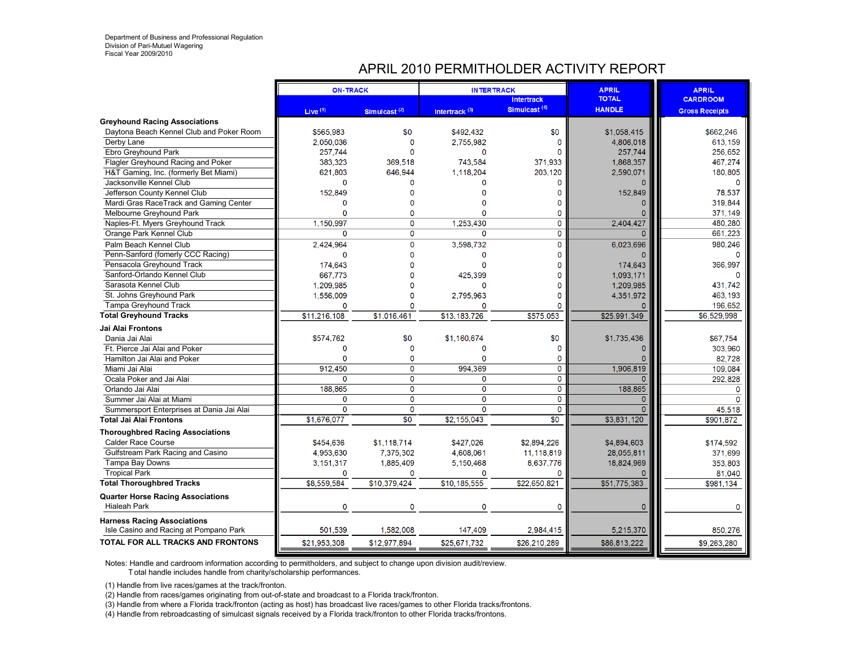# APRIL 2010 PERMITHOLDER ACTIVITY REPORT

|                                           | <b>ON-TRACK</b> |                          | <b>INTERTRACK</b>         |                          | <b>APRIL</b>  | <b>APRIL</b>          |
|-------------------------------------------|-----------------|--------------------------|---------------------------|--------------------------|---------------|-----------------------|
|                                           |                 |                          |                           | <b>Intertrack</b>        | <b>TOTAL</b>  | <b>CARDROOM</b>       |
|                                           | Live $(1)$      | Simulcast <sup>(2)</sup> | Intertrack <sup>(3)</sup> | Simulcast <sup>(4)</sup> | <b>HANDLE</b> | <b>Gross Receipts</b> |
| <b>Greyhound Racing Associations</b>      |                 |                          |                           |                          |               |                       |
| Daytona Beach Kennel Club and Poker Room  | \$565.983       | \$0                      | \$492.432                 | \$0                      | \$1.058.415   | \$662,246             |
| Derby Lane                                | 2,050,036       | $\mathbf{0}$             | 2,755,982                 | $\Omega$                 | 4,806,018     | 613,159               |
| Ebro Greyhound Park                       | 257.744         | $\Omega$                 | $\Omega$                  |                          | 257.744       | 256,652               |
| Flagler Greyhound Racing and Poker        | 383.323         | 369.518                  | 743.584                   | 371.933                  | 1.868.357     | 467,274               |
| H&T Gaming, Inc. (formerly Bet Miami)     | 621,803         | 646,944                  | 1,118,204                 | 203,120                  | 2,590,071     | 180,805               |
| Jacksonville Kennel Club                  | $\Omega$        | O                        | n                         | n                        |               | n                     |
| Jefferson County Kennel Club              | 152,849         | O                        |                           | O                        | 152,849       | 78,537                |
| Mardi Gras RaceTrack and Gaming Center    | $\Omega$        |                          |                           |                          |               | 319,844               |
| Melbourne Greyhound Park                  | $\Omega$        | $\Omega$                 |                           | 0                        | $\Omega$      | 371,149               |
| Naples-Ft. Myers Greyhound Track          | 1.150.997       | $\mathbf 0$              | 1.253.430                 | 0                        | 2.404.427     | 480,280               |
| Orange Park Kennel Club                   | $\mathbf{0}$    | $\mathbf 0$              | $\Omega$                  | $\mathbf 0$              | $\Omega$      | 661,223               |
| Palm Beach Kennel Club                    | 2,424,964       | $\mathbf 0$              | 3,598,732                 | $\mathbf 0$              | 6,023,696     | 980,246               |
| Penn-Sanford (fomerly CCC Racing)         | $\Omega$        | $\Omega$                 | $\mathbf{0}$              | n                        |               |                       |
| Pensacola Greyhound Track                 | 174,643         | $\Omega$                 | $\Omega$                  |                          | 174,643       | 366,997               |
| Sanford-Orlando Kennel Club               | 667,773         | O                        | 425,399                   |                          | 1,093,171     |                       |
| Sarasota Kennel Club                      | 1,209,985       | n                        | n                         |                          | 1,209,985     | 431,742               |
| St. Johns Greyhound Park                  | 1,556,009       | $\Omega$                 | 2.795.963                 | n                        | 4,351,972     | 463,193               |
| <b>Tampa Greyhound Track</b>              | $\mathbf{0}$    | $\Omega$                 | $\mathbf 0$               | n                        |               | 196,652               |
| <b>Total Greyhound Tracks</b>             | \$11,216,108    | \$1,016,461              | \$13,183,726              | \$575,053                | \$25,991,349  | \$6,529,998           |
| <b>Jai Alai Frontons</b>                  |                 |                          |                           |                          |               |                       |
| Dania Jai Alai                            | \$574,762       | \$0                      | \$1,160,674               | \$0                      | \$1,735,436   | \$67,754              |
| Ft. Pierce Jai Alai and Poker             | $\Omega$        | $\Omega$                 | $\Omega$                  | $\Omega$                 | $\Omega$      | 303,960               |
| Hamilton Jai Alai and Poker               | $\Omega$        | $\mathbf 0$              |                           | 0                        |               | 82,728                |
| Miami Jai Alai                            | 912,450         | $\mathbf{0}$             | 994,369                   | $\mathbf{0}$             | 1,906,819     | 109,084               |
| Ocala Poker and Jai Alai                  | $\mathbf 0$     | 0                        | 0                         | $\mathbf 0$              | $\Omega$      | 292,828               |
| Orlando Jai Alai                          | 188,865         | $\overline{0}$           | $\overline{0}$            | $\overline{0}$           | 188,865       | $\Omega$              |
| Summer Jai Alai at Miami                  | $\mathbf 0$     | $\Omega$                 | $\overline{0}$            | $\mathbf{0}$             | $\Omega$      |                       |
| Summersport Enterprises at Dania Jai Alai | $\mathbf 0$     | 0                        | 0                         | 0                        |               | 45,518                |
| <b>Total Jai Alai Frontons</b>            | \$1,676,077     | $\overline{30}$          | \$2.155.043               | $\overline{30}$          | \$3,831,120   | \$901.872             |
| <b>Thoroughbred Racing Associations</b>   |                 |                          |                           |                          |               |                       |
| <b>Calder Race Course</b>                 | \$454,636       | \$1,118,714              | \$427,026                 | \$2,894,226              | \$4,894,603   | \$174,592             |
| Gulfstream Park Racing and Casino         | 4,953,630       | 7.375.302                | 4,608,061                 | 11,118,819               | 28.055.811    | 371,699               |
| Tampa Bay Downs                           | 3, 151, 317     | 1,885,409                | 5.150.468                 | 8.637.776                | 18,824,969    | 353,803               |
| <b>Tropical Park</b>                      | $\bf{0}$        | $\Omega$                 | $\Omega$                  | n                        |               | 81,040                |
| <b>Total Thoroughbred Tracks</b>          | \$8,559,584     | \$10,379,424             | \$10,185,555              | \$22,650,821             | \$51,775,383  | \$981.134             |
| <b>Quarter Horse Racing Associations</b>  |                 |                          |                           |                          |               |                       |
| <b>Hialeah Park</b>                       | $\mathbf 0$     | 0                        | $\mathbf 0$               | 0                        | $\mathbf{0}$  |                       |
| <b>Harness Racing Associations</b>        |                 |                          |                           |                          |               |                       |
| Isle Casino and Racing at Pompano Park    | 501.539         | 1.582.008                | 147.409                   | 2.984.415                | 5,215,370     | 850,276               |
| TOTAL FOR ALL TRACKS AND FRONTONS         | \$21,953,308    | \$12,977,894             | \$25,671,732              | \$26,210,289             | \$86,813,222  | \$9,263,280           |
|                                           |                 |                          |                           |                          |               |                       |

Notes: Handle and cardroom information according to permitholders, and subject to change upon division audit/review.

T otal handle includes handle from charity/scholarship performances.

(1) Handle from live races/games at the track/fronton.

(2) Handle from races/games originating from out-of-state and broadcast to a Florida track/fronton.

(3) Handle from where a Florida track/fronton (acting as host) has broadcast live races/games to other Florida tracks/frontons.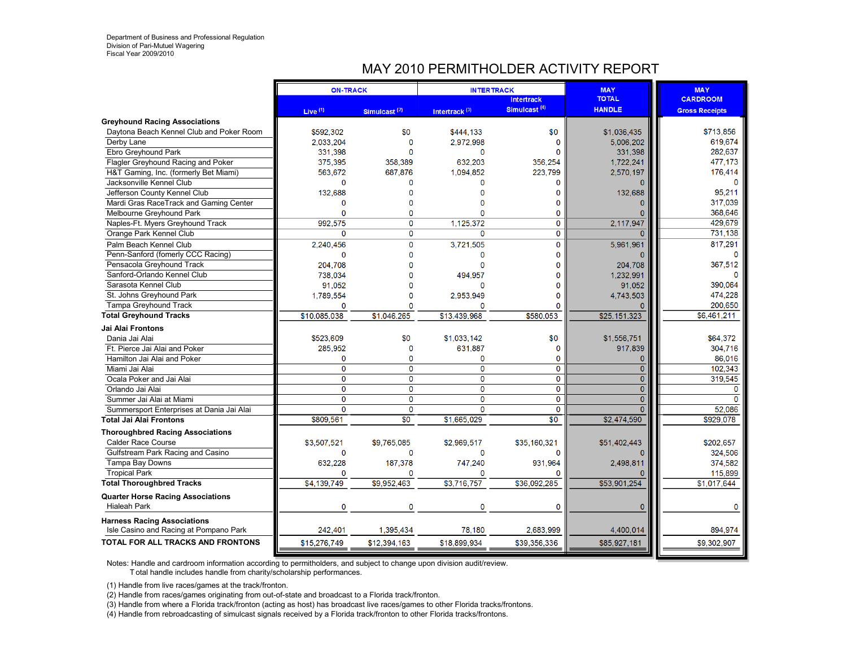# MAY 2010 PERMITHOLDER ACTIVITY REPORT

|                                           | <b>ON-TRACK</b> |                          | <b>INTERTRACK</b>         |                          | <b>MAY</b>     | <b>MAY</b>             |
|-------------------------------------------|-----------------|--------------------------|---------------------------|--------------------------|----------------|------------------------|
|                                           |                 |                          |                           | <b>Intertrack</b>        | <b>TOTAL</b>   | <b>CARDROOM</b>        |
|                                           | Live $(1)$      | Simulcast <sup>(2)</sup> | Intertrack <sup>(3)</sup> | Simulcast <sup>(4)</sup> | <b>HANDLE</b>  | <b>Gross Receipts</b>  |
| <b>Greyhound Racing Associations</b>      |                 |                          |                           |                          |                |                        |
| Daytona Beach Kennel Club and Poker Room  | \$592.302       | \$0                      | \$444.133                 | \$0                      | \$1,036.435    | \$713,856              |
| Derby Lane                                | 2,033,204       | 0                        | 2,972,998                 | $\mathbf 0$              | 5,006,202      | 619,674                |
| Ebro Greyhound Park                       | 331,398         | n                        | $\Omega$                  | O                        | 331,398        | 282,637                |
| Flagler Greyhound Racing and Poker        | 375.395         | 358.389                  | 632.203                   | 356.254                  | 1.722.241      | 477,173                |
| H&T Gaming, Inc. (formerly Bet Miami)     | 563.672         | 687.876                  | 1,094,852                 | 223.799                  | 2,570,197      | 176,414                |
| Jacksonville Kennel Club                  | 0               | 0                        | O                         | 0                        |                | O                      |
| Jefferson County Kennel Club              | 132,688         | O                        |                           | 0                        | 132,688        | 95,211                 |
| Mardi Gras RaceTrack and Gaming Center    | Ő               | n                        |                           | n                        |                | 317.039                |
| Melbourne Greyhound Park                  | Ō               | 0                        |                           | $\Omega$                 | 0              | 368,646                |
| Naples-Ft. Myers Greyhound Track          | 992.575         | 0                        | 1,125,372                 | $\mathbf 0$              | 2,117,947      | 429,679                |
| Orange Park Kennel Club                   | $\mathbf{0}$    | 0                        | 0                         | $\mathbf{O}$             | $\Omega$       | 731,138                |
| Palm Beach Kennel Club                    | 2,240,456       | $\mathbf 0$              | 3,721,505                 | $\mathbf 0$              | 5.961.961      | 817,291                |
| Penn-Sanford (fomerly CCC Racing)         | $\mathbf{0}$    | $\Omega$                 | $\mathbf{0}$              | $\Omega$                 | n              | $\Omega$               |
| Pensacola Greyhound Track                 | 204,708         | O                        | $\Omega$                  | O                        | 204,708        | 367,512                |
| Sanford-Orlando Kennel Club               | 738.034         |                          | 494.957                   |                          | 1.232.991      |                        |
| Sarasota Kennel Club                      | 91,052          | n                        |                           | n                        | 91,052         | 390.064                |
| St. Johns Greyhound Park                  | 1,789,554       | O                        | 2,953,949                 | n                        | 4,743,503      | 474,228                |
| Tampa Greyhound Track                     | 0               | n                        | O                         | O                        | O              | 200,650                |
| <b>Total Greyhound Tracks</b>             | \$10,085,038    | \$1.046.265              | \$13,439,968              | \$580.053                | \$25,151,323   | \$6,461,211            |
| <b>Jai Alai Frontons</b>                  |                 |                          |                           |                          |                |                        |
| Dania Jai Alai                            | \$523,609       | \$0                      | \$1,033,142               | \$0                      | \$1,556,751    | \$64,372               |
| Ft. Pierce Jai Alai and Poker             | 285,952         | $\mathbf{0}$             | 631,887                   | $\mathbf 0$              | 917.839        | 304,716                |
| Hamilton Jai Alai and Poker               | $\Omega$        | $\Omega$                 | O                         | O                        | $\mathbf{0}$   | 86,016                 |
| Miami Jai Alai                            | $\overline{0}$  | $\overline{0}$           | $\overline{0}$            | $\mathbf{O}$             | $\overline{0}$ | 102.343                |
| Ocala Poker and Jai Alai                  | 0               | 0                        | 0                         | $\mathbf 0$              | $\overline{0}$ | 319,545                |
| Orlando Jai Alai                          | $\mathbf 0$     | 0                        | $\overline{\mathbf{0}}$   | $\mathbf 0$              | $\overline{0}$ | $\Omega$               |
| Summer Jai Alai at Miami                  | $\mathbf{0}$    | $\Omega$                 | $\mathbf 0$               | $\Omega$                 | $\overline{0}$ | $\Omega$               |
| Summersport Enterprises at Dania Jai Alai | $\Omega$        | $\overline{0}$           | $\overline{0}$            | $\Omega$                 | $\overline{0}$ | 52,086                 |
| <b>Total Jai Alai Frontons</b>            | \$809,561       | $\overline{30}$          | \$1,665,029               | $\overline{50}$          | \$2,474,590    | \$929,078              |
| <b>Thoroughbred Racing Associations</b>   |                 |                          |                           |                          |                |                        |
| <b>Calder Race Course</b>                 | \$3,507,521     | \$9.765.085              | \$2,969,517               | \$35,160,321             | \$51,402,443   | \$202.657              |
|                                           | $\mathbf{0}$    | $\mathbf{O}$             | 0                         | $\Omega$                 |                | 324,506                |
| Gulfstream Park Racing and Casino         |                 |                          | 747,240                   | 931.964                  | 2,498,811      |                        |
| Tampa Bay Downs                           | 632,228<br>O    | 187,378<br>n             | O                         |                          |                | 374,582                |
| <b>Tropical Park</b>                      | \$4,139,749     | \$9,952.463              | \$3,716,757               | \$36,092,285             | \$53,901,254   | 115,899<br>\$1,017,644 |
| <b>Total Thoroughbred Tracks</b>          |                 |                          |                           |                          |                |                        |
| <b>Quarter Horse Racing Associations</b>  |                 |                          |                           |                          |                |                        |
| <b>Hialeah Park</b>                       | 0               | 0                        | $\Omega$                  | $\mathbf 0$              | 0              | $\Omega$               |
| <b>Harness Racing Associations</b>        |                 |                          |                           |                          |                |                        |
| Isle Casino and Racing at Pompano Park    | 242.401         | 1,395,434                | 78,180                    | 2.683.999                | 4,400,014      | 894,974                |
| TOTAL FOR ALL TRACKS AND FRONTONS         | \$15,276,749    | \$12,394,163             | \$18,899,934              | \$39,356,336             | \$85,927,181   | \$9,302,907            |
|                                           |                 |                          |                           |                          |                |                        |

Notes: Handle and cardroom information according to permitholders, and subject to change upon division audit/review.

T otal handle includes handle from charity/scholarship performances.

(1) Handle from live races/games at the track/fronton.

(2) Handle from races/games originating from out-of-state and broadcast to a Florida track/fronton.

(3) Handle from where a Florida track/fronton (acting as host) has broadcast live races/games to other Florida tracks/frontons.